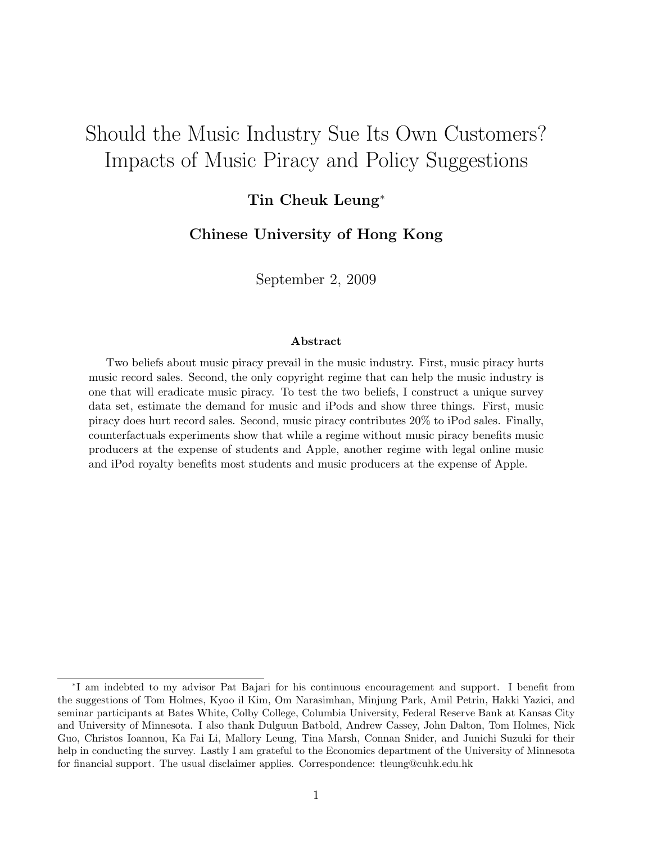# <span id="page-0-0"></span>Should the Music Industry Sue Its Own Customers? Impacts of Music Piracy and Policy Suggestions

### Tin Cheuk Leung<sup>∗</sup>

Chinese University of Hong Kong

September 2, 2009

#### Abstract

Two beliefs about music piracy prevail in the music industry. First, music piracy hurts music record sales. Second, the only copyright regime that can help the music industry is one that will eradicate music piracy. To test the two beliefs, I construct a unique survey data set, estimate the demand for music and iPods and show three things. First, music piracy does hurt record sales. Second, music piracy contributes 20% to iPod sales. Finally, counterfactuals experiments show that while a regime without music piracy benefits music producers at the expense of students and Apple, another regime with legal online music and iPod royalty benefits most students and music producers at the expense of Apple.

<sup>∗</sup> I am indebted to my advisor Pat Bajari for his continuous encouragement and support. I benefit from the suggestions of Tom Holmes, Kyoo il Kim, Om Narasimhan, Minjung Park, Amil Petrin, Hakki Yazici, and seminar participants at Bates White, Colby College, Columbia University, Federal Reserve Bank at Kansas City and University of Minnesota. I also thank Dulguun Batbold, Andrew Cassey, John Dalton, Tom Holmes, Nick Guo, Christos Ioannou, Ka Fai Li, Mallory Leung, Tina Marsh, Connan Snider, and Junichi Suzuki for their help in conducting the survey. Lastly I am grateful to the Economics department of the University of Minnesota for financial support. The usual disclaimer applies. Correspondence: tleung@cuhk.edu.hk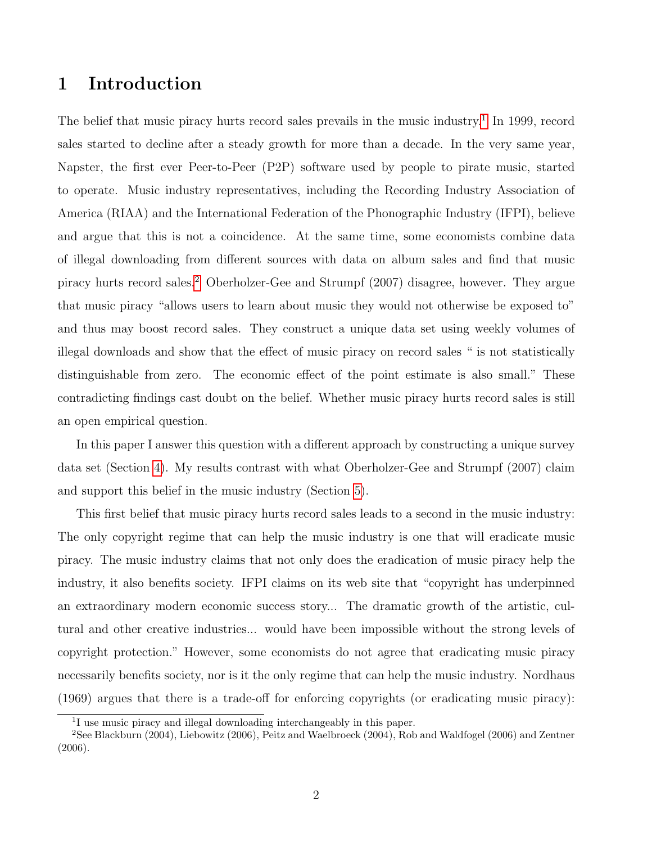# 1 Introduction

The belief that music piracy hurts record sales prevails in the music industry.<sup>[1](#page-0-0)</sup> In 1999, record sales started to decline after a steady growth for more than a decade. In the very same year, Napster, the first ever Peer-to-Peer (P2P) software used by people to pirate music, started to operate. Music industry representatives, including the Recording Industry Association of America (RIAA) and the International Federation of the Phonographic Industry (IFPI), believe and argue that this is not a coincidence. At the same time, some economists combine data of illegal downloading from different sources with data on album sales and find that music piracy hurts record sales.[2](#page-0-0) Oberholzer-Gee and Strumpf (2007) disagree, however. They argue that music piracy "allows users to learn about music they would not otherwise be exposed to" and thus may boost record sales. They construct a unique data set using weekly volumes of illegal downloads and show that the effect of music piracy on record sales " is not statistically distinguishable from zero. The economic effect of the point estimate is also small." These contradicting findings cast doubt on the belief. Whether music piracy hurts record sales is still an open empirical question.

In this paper I answer this question with a different approach by constructing a unique survey data set (Section [4\)](#page-9-0). My results contrast with what Oberholzer-Gee and Strumpf (2007) claim and support this belief in the music industry (Section [5\)](#page-13-0).

This first belief that music piracy hurts record sales leads to a second in the music industry: The only copyright regime that can help the music industry is one that will eradicate music piracy. The music industry claims that not only does the eradication of music piracy help the industry, it also benefits society. IFPI claims on its web site that "copyright has underpinned an extraordinary modern economic success story... The dramatic growth of the artistic, cultural and other creative industries... would have been impossible without the strong levels of copyright protection." However, some economists do not agree that eradicating music piracy necessarily benefits society, nor is it the only regime that can help the music industry. Nordhaus (1969) argues that there is a trade-off for enforcing copyrights (or eradicating music piracy):

<sup>&</sup>lt;sup>1</sup>I use music piracy and illegal downloading interchangeably in this paper.

 $2$ See Blackburn (2004), Liebowitz (2006), Peitz and Waelbroeck (2004), Rob and Waldfogel (2006) and Zentner (2006).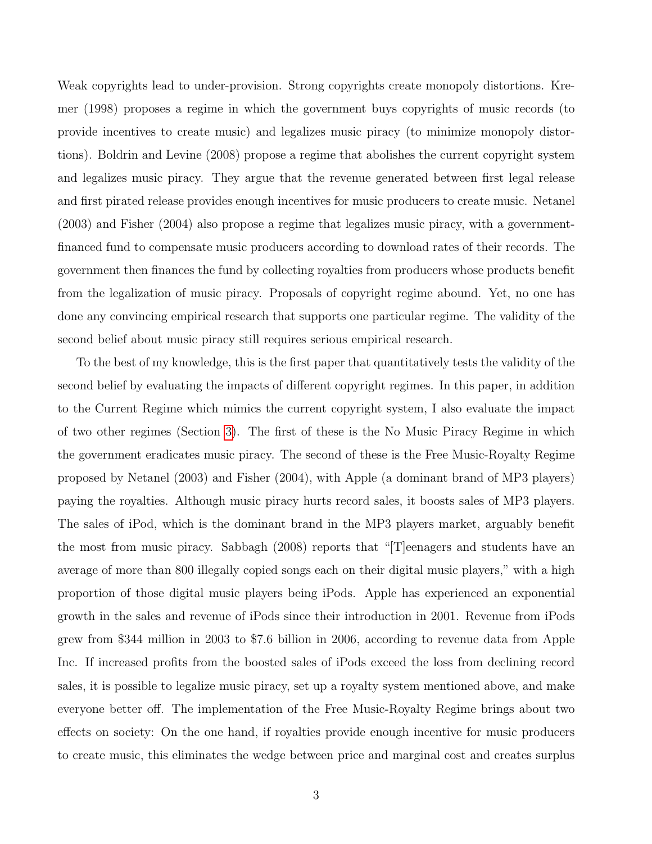Weak copyrights lead to under-provision. Strong copyrights create monopoly distortions. Kremer (1998) proposes a regime in which the government buys copyrights of music records (to provide incentives to create music) and legalizes music piracy (to minimize monopoly distortions). Boldrin and Levine (2008) propose a regime that abolishes the current copyright system and legalizes music piracy. They argue that the revenue generated between first legal release and first pirated release provides enough incentives for music producers to create music. Netanel (2003) and Fisher (2004) also propose a regime that legalizes music piracy, with a governmentfinanced fund to compensate music producers according to download rates of their records. The government then finances the fund by collecting royalties from producers whose products benefit from the legalization of music piracy. Proposals of copyright regime abound. Yet, no one has done any convincing empirical research that supports one particular regime. The validity of the second belief about music piracy still requires serious empirical research.

To the best of my knowledge, this is the first paper that quantitatively tests the validity of the second belief by evaluating the impacts of different copyright regimes. In this paper, in addition to the Current Regime which mimics the current copyright system, I also evaluate the impact of two other regimes (Section [3\)](#page-7-0). The first of these is the No Music Piracy Regime in which the government eradicates music piracy. The second of these is the Free Music-Royalty Regime proposed by Netanel (2003) and Fisher (2004), with Apple (a dominant brand of MP3 players) paying the royalties. Although music piracy hurts record sales, it boosts sales of MP3 players. The sales of iPod, which is the dominant brand in the MP3 players market, arguably benefit the most from music piracy. Sabbagh (2008) reports that "[T]eenagers and students have an average of more than 800 illegally copied songs each on their digital music players," with a high proportion of those digital music players being iPods. Apple has experienced an exponential growth in the sales and revenue of iPods since their introduction in 2001. Revenue from iPods grew from \$344 million in 2003 to \$7.6 billion in 2006, according to revenue data from Apple Inc. If increased profits from the boosted sales of iPods exceed the loss from declining record sales, it is possible to legalize music piracy, set up a royalty system mentioned above, and make everyone better off. The implementation of the Free Music-Royalty Regime brings about two effects on society: On the one hand, if royalties provide enough incentive for music producers to create music, this eliminates the wedge between price and marginal cost and creates surplus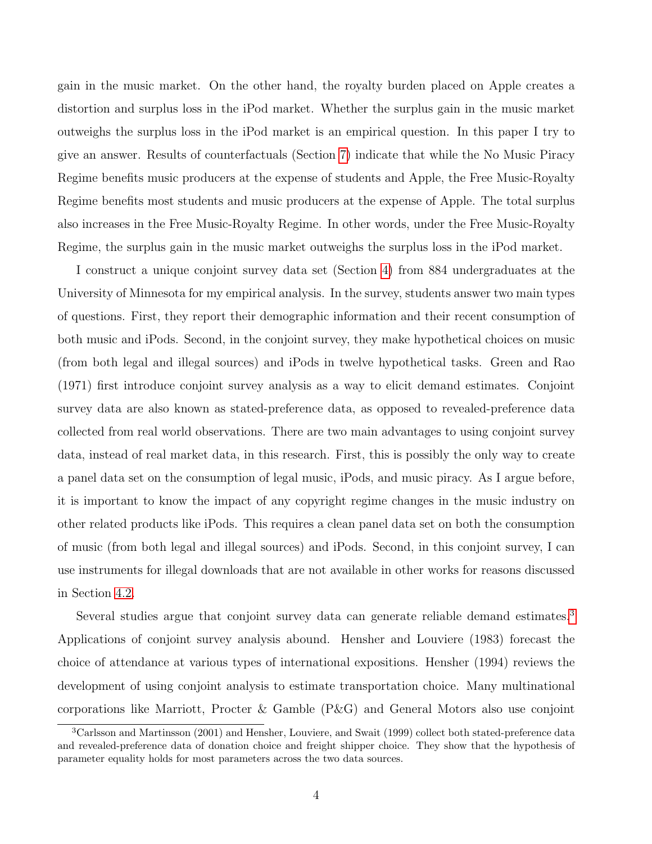gain in the music market. On the other hand, the royalty burden placed on Apple creates a distortion and surplus loss in the iPod market. Whether the surplus gain in the music market outweighs the surplus loss in the iPod market is an empirical question. In this paper I try to give an answer. Results of counterfactuals (Section [7\)](#page-20-0) indicate that while the No Music Piracy Regime benefits music producers at the expense of students and Apple, the Free Music-Royalty Regime benefits most students and music producers at the expense of Apple. The total surplus also increases in the Free Music-Royalty Regime. In other words, under the Free Music-Royalty Regime, the surplus gain in the music market outweighs the surplus loss in the iPod market.

I construct a unique conjoint survey data set (Section [4\)](#page-9-0) from 884 undergraduates at the University of Minnesota for my empirical analysis. In the survey, students answer two main types of questions. First, they report their demographic information and their recent consumption of both music and iPods. Second, in the conjoint survey, they make hypothetical choices on music (from both legal and illegal sources) and iPods in twelve hypothetical tasks. Green and Rao (1971) first introduce conjoint survey analysis as a way to elicit demand estimates. Conjoint survey data are also known as stated-preference data, as opposed to revealed-preference data collected from real world observations. There are two main advantages to using conjoint survey data, instead of real market data, in this research. First, this is possibly the only way to create a panel data set on the consumption of legal music, iPods, and music piracy. As I argue before, it is important to know the impact of any copyright regime changes in the music industry on other related products like iPods. This requires a clean panel data set on both the consumption of music (from both legal and illegal sources) and iPods. Second, in this conjoint survey, I can use instruments for illegal downloads that are not available in other works for reasons discussed in Section [4.2.](#page-11-0)

Several studies argue that conjoint survey data can generate reliable demand estimates.<sup>[3](#page-0-0)</sup> Applications of conjoint survey analysis abound. Hensher and Louviere (1983) forecast the choice of attendance at various types of international expositions. Hensher (1994) reviews the development of using conjoint analysis to estimate transportation choice. Many multinational corporations like Marriott, Procter & Gamble (P&G) and General Motors also use conjoint

<sup>3</sup>Carlsson and Martinsson (2001) and Hensher, Louviere, and Swait (1999) collect both stated-preference data and revealed-preference data of donation choice and freight shipper choice. They show that the hypothesis of parameter equality holds for most parameters across the two data sources.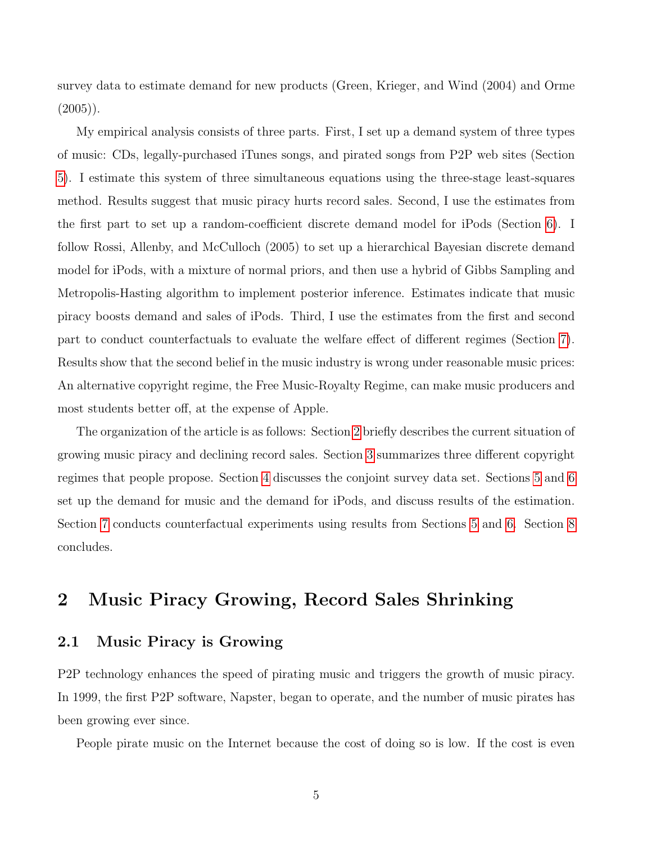survey data to estimate demand for new products (Green, Krieger, and Wind (2004) and Orme  $(2005)$ ).

My empirical analysis consists of three parts. First, I set up a demand system of three types of music: CDs, legally-purchased iTunes songs, and pirated songs from P2P web sites (Section [5\)](#page-13-0). I estimate this system of three simultaneous equations using the three-stage least-squares method. Results suggest that music piracy hurts record sales. Second, I use the estimates from the first part to set up a random-coefficient discrete demand model for iPods (Section [6\)](#page-16-0). I follow Rossi, Allenby, and McCulloch (2005) to set up a hierarchical Bayesian discrete demand model for iPods, with a mixture of normal priors, and then use a hybrid of Gibbs Sampling and Metropolis-Hasting algorithm to implement posterior inference. Estimates indicate that music piracy boosts demand and sales of iPods. Third, I use the estimates from the first and second part to conduct counterfactuals to evaluate the welfare effect of different regimes (Section [7\)](#page-20-0). Results show that the second belief in the music industry is wrong under reasonable music prices: An alternative copyright regime, the Free Music-Royalty Regime, can make music producers and most students better off, at the expense of Apple.

The organization of the article is as follows: Section [2](#page-4-0) briefly describes the current situation of growing music piracy and declining record sales. Section [3](#page-7-0) summarizes three different copyright regimes that people propose. Section [4](#page-9-0) discusses the conjoint survey data set. Sections [5](#page-13-0) and [6](#page-16-0) set up the demand for music and the demand for iPods, and discuss results of the estimation. Section [7](#page-20-0) conducts counterfactual experiments using results from Sections [5](#page-13-0) and [6.](#page-16-0) Section [8](#page-23-0) concludes.

# <span id="page-4-0"></span>2 Music Piracy Growing, Record Sales Shrinking

#### 2.1 Music Piracy is Growing

P2P technology enhances the speed of pirating music and triggers the growth of music piracy. In 1999, the first P2P software, Napster, began to operate, and the number of music pirates has been growing ever since.

People pirate music on the Internet because the cost of doing so is low. If the cost is even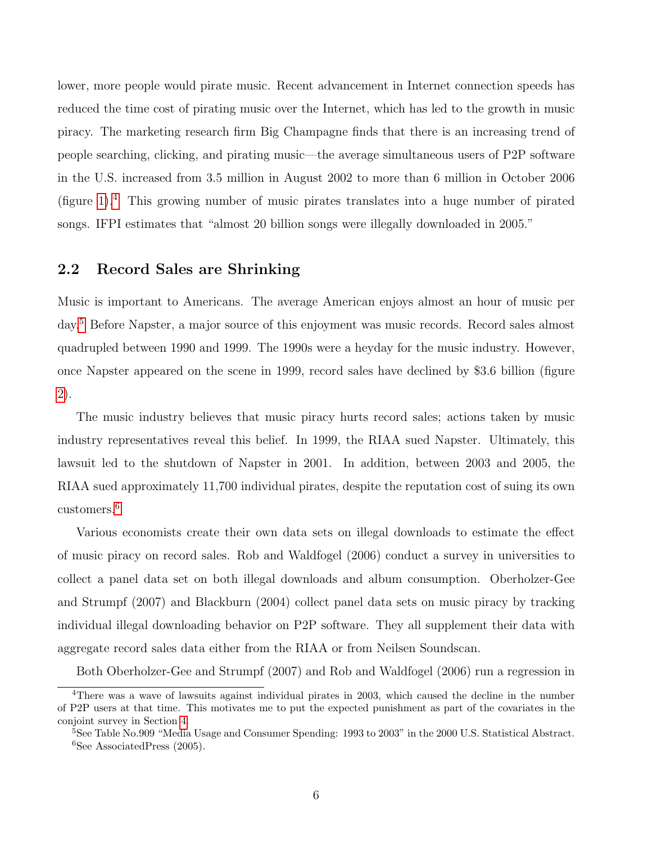lower, more people would pirate music. Recent advancement in Internet connection speeds has reduced the time cost of pirating music over the Internet, which has led to the growth in music piracy. The marketing research firm Big Champagne finds that there is an increasing trend of people searching, clicking, and pirating music—the average simultaneous users of P2P software in the U.S. increased from 3.5 million in August 2002 to more than 6 million in October 2006 (figure [1\)](#page-37-0).<sup>[4](#page-0-0)</sup> This growing number of music pirates translates into a huge number of pirated songs. IFPI estimates that "almost 20 billion songs were illegally downloaded in 2005."

#### 2.2 Record Sales are Shrinking

Music is important to Americans. The average American enjoys almost an hour of music per day.[5](#page-0-0) Before Napster, a major source of this enjoyment was music records. Record sales almost quadrupled between 1990 and 1999. The 1990s were a heyday for the music industry. However, once Napster appeared on the scene in 1999, record sales have declined by \$3.6 billion (figure [2\)](#page-37-1).

The music industry believes that music piracy hurts record sales; actions taken by music industry representatives reveal this belief. In 1999, the RIAA sued Napster. Ultimately, this lawsuit led to the shutdown of Napster in 2001. In addition, between 2003 and 2005, the RIAA sued approximately 11,700 individual pirates, despite the reputation cost of suing its own customers.[6](#page-0-0)

Various economists create their own data sets on illegal downloads to estimate the effect of music piracy on record sales. Rob and Waldfogel (2006) conduct a survey in universities to collect a panel data set on both illegal downloads and album consumption. Oberholzer-Gee and Strumpf (2007) and Blackburn (2004) collect panel data sets on music piracy by tracking individual illegal downloading behavior on P2P software. They all supplement their data with aggregate record sales data either from the RIAA or from Neilsen Soundscan.

Both Oberholzer-Gee and Strumpf (2007) and Rob and Waldfogel (2006) run a regression in

<sup>&</sup>lt;sup>4</sup>There was a wave of lawsuits against individual pirates in 2003, which caused the decline in the number of P2P users at that time. This motivates me to put the expected punishment as part of the covariates in the conjoint survey in Section [4.](#page-9-0)

<sup>5</sup>See Table No.909 "Media Usage and Consumer Spending: 1993 to 2003" in the 2000 U.S. Statistical Abstract. <sup>6</sup>See AssociatedPress (2005).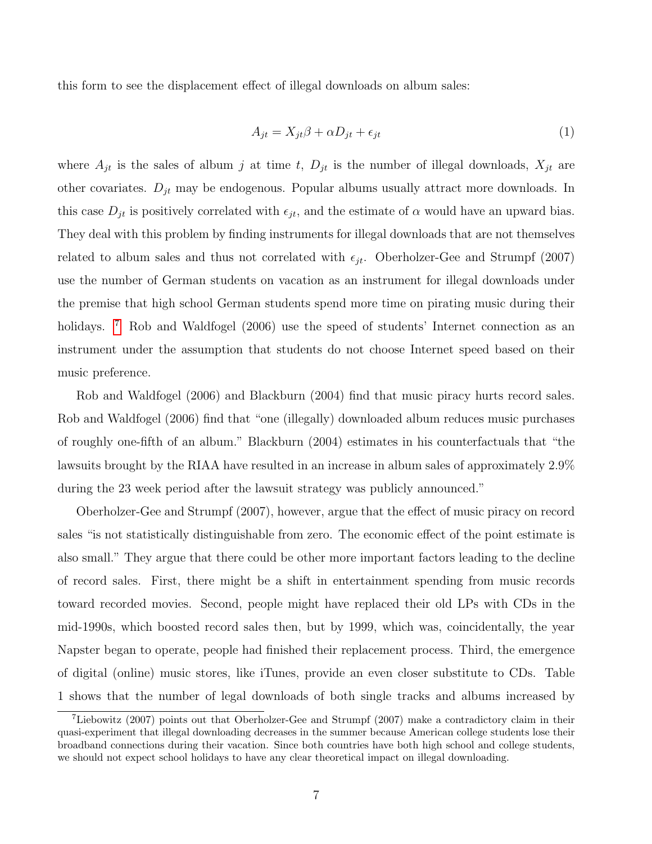<span id="page-6-0"></span>this form to see the displacement effect of illegal downloads on album sales:

$$
A_{jt} = X_{jt}\beta + \alpha D_{jt} + \epsilon_{jt} \tag{1}
$$

where  $A_{jt}$  is the sales of album j at time t,  $D_{jt}$  is the number of illegal downloads,  $X_{jt}$  are other covariates.  $D_{jt}$  may be endogenous. Popular albums usually attract more downloads. In this case  $D_{jt}$  is positively correlated with  $\epsilon_{jt}$ , and the estimate of  $\alpha$  would have an upward bias. They deal with this problem by finding instruments for illegal downloads that are not themselves related to album sales and thus not correlated with  $\epsilon_{it}$ . Oberholzer-Gee and Strumpf (2007) use the number of German students on vacation as an instrument for illegal downloads under the premise that high school German students spend more time on pirating music during their holidays. <sup>[7](#page-0-0)</sup> Rob and Waldfogel (2006) use the speed of students' Internet connection as an instrument under the assumption that students do not choose Internet speed based on their music preference.

Rob and Waldfogel (2006) and Blackburn (2004) find that music piracy hurts record sales. Rob and Waldfogel (2006) find that "one (illegally) downloaded album reduces music purchases of roughly one-fifth of an album." Blackburn (2004) estimates in his counterfactuals that "the lawsuits brought by the RIAA have resulted in an increase in album sales of approximately 2.9% during the 23 week period after the lawsuit strategy was publicly announced."

Oberholzer-Gee and Strumpf (2007), however, argue that the effect of music piracy on record sales "is not statistically distinguishable from zero. The economic effect of the point estimate is also small." They argue that there could be other more important factors leading to the decline of record sales. First, there might be a shift in entertainment spending from music records toward recorded movies. Second, people might have replaced their old LPs with CDs in the mid-1990s, which boosted record sales then, but by 1999, which was, coincidentally, the year Napster began to operate, people had finished their replacement process. Third, the emergence of digital (online) music stores, like iTunes, provide an even closer substitute to CDs. Table 1 shows that the number of legal downloads of both single tracks and albums increased by

<sup>7</sup>Liebowitz (2007) points out that Oberholzer-Gee and Strumpf (2007) make a contradictory claim in their quasi-experiment that illegal downloading decreases in the summer because American college students lose their broadband connections during their vacation. Since both countries have both high school and college students, we should not expect school holidays to have any clear theoretical impact on illegal downloading.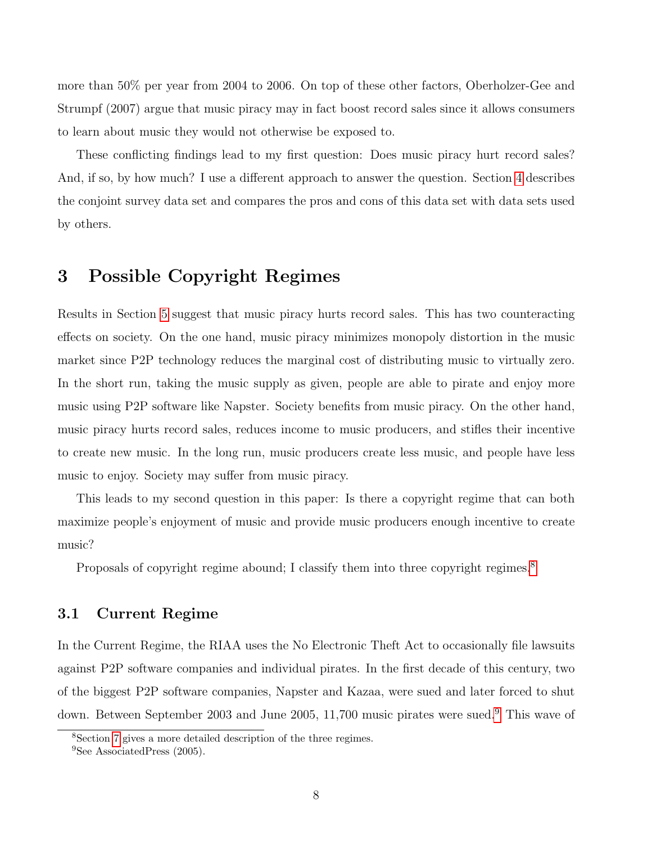more than 50% per year from 2004 to 2006. On top of these other factors, Oberholzer-Gee and Strumpf (2007) argue that music piracy may in fact boost record sales since it allows consumers to learn about music they would not otherwise be exposed to.

These conflicting findings lead to my first question: Does music piracy hurt record sales? And, if so, by how much? I use a different approach to answer the question. Section [4](#page-9-0) describes the conjoint survey data set and compares the pros and cons of this data set with data sets used by others.

## <span id="page-7-0"></span>3 Possible Copyright Regimes

Results in Section [5](#page-13-0) suggest that music piracy hurts record sales. This has two counteracting effects on society. On the one hand, music piracy minimizes monopoly distortion in the music market since P2P technology reduces the marginal cost of distributing music to virtually zero. In the short run, taking the music supply as given, people are able to pirate and enjoy more music using P2P software like Napster. Society benefits from music piracy. On the other hand, music piracy hurts record sales, reduces income to music producers, and stifles their incentive to create new music. In the long run, music producers create less music, and people have less music to enjoy. Society may suffer from music piracy.

This leads to my second question in this paper: Is there a copyright regime that can both maximize people's enjoyment of music and provide music producers enough incentive to create music?

Proposals of copyright regime abound; I classify them into three copyright regimes.<sup>[8](#page-0-0)</sup>

#### 3.1 Current Regime

In the Current Regime, the RIAA uses the No Electronic Theft Act to occasionally file lawsuits against P2P software companies and individual pirates. In the first decade of this century, two of the biggest P2P software companies, Napster and Kazaa, were sued and later forced to shut down. Between September 2003 and June 2005, 11,700 music pirates were sued.[9](#page-0-0) This wave of

<sup>8</sup>Section [7](#page-20-0) gives a more detailed description of the three regimes.

<sup>&</sup>lt;sup>9</sup>See AssociatedPress (2005).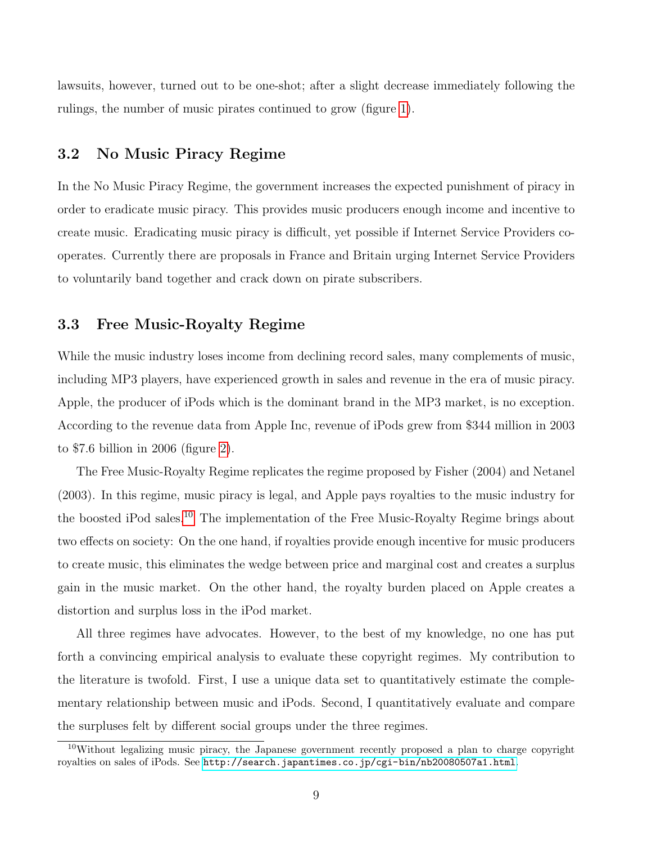lawsuits, however, turned out to be one-shot; after a slight decrease immediately following the rulings, the number of music pirates continued to grow (figure [1\)](#page-37-0).

### 3.2 No Music Piracy Regime

In the No Music Piracy Regime, the government increases the expected punishment of piracy in order to eradicate music piracy. This provides music producers enough income and incentive to create music. Eradicating music piracy is difficult, yet possible if Internet Service Providers cooperates. Currently there are proposals in France and Britain urging Internet Service Providers to voluntarily band together and crack down on pirate subscribers.

#### 3.3 Free Music-Royalty Regime

While the music industry loses income from declining record sales, many complements of music, including MP3 players, have experienced growth in sales and revenue in the era of music piracy. Apple, the producer of iPods which is the dominant brand in the MP3 market, is no exception. According to the revenue data from Apple Inc, revenue of iPods grew from \$344 million in 2003 to \$7.6 billion in 2006 (figure [2\)](#page-37-1).

The Free Music-Royalty Regime replicates the regime proposed by Fisher (2004) and Netanel (2003). In this regime, music piracy is legal, and Apple pays royalties to the music industry for the boosted iPod sales.[10](#page-0-0) The implementation of the Free Music-Royalty Regime brings about two effects on society: On the one hand, if royalties provide enough incentive for music producers to create music, this eliminates the wedge between price and marginal cost and creates a surplus gain in the music market. On the other hand, the royalty burden placed on Apple creates a distortion and surplus loss in the iPod market.

All three regimes have advocates. However, to the best of my knowledge, no one has put forth a convincing empirical analysis to evaluate these copyright regimes. My contribution to the literature is twofold. First, I use a unique data set to quantitatively estimate the complementary relationship between music and iPods. Second, I quantitatively evaluate and compare the surpluses felt by different social groups under the three regimes.

<sup>10</sup>Without legalizing music piracy, the Japanese government recently proposed a plan to charge copyright royalties on sales of iPods. See <http://search.japantimes.co.jp/cgi-bin/nb20080507a1.html>.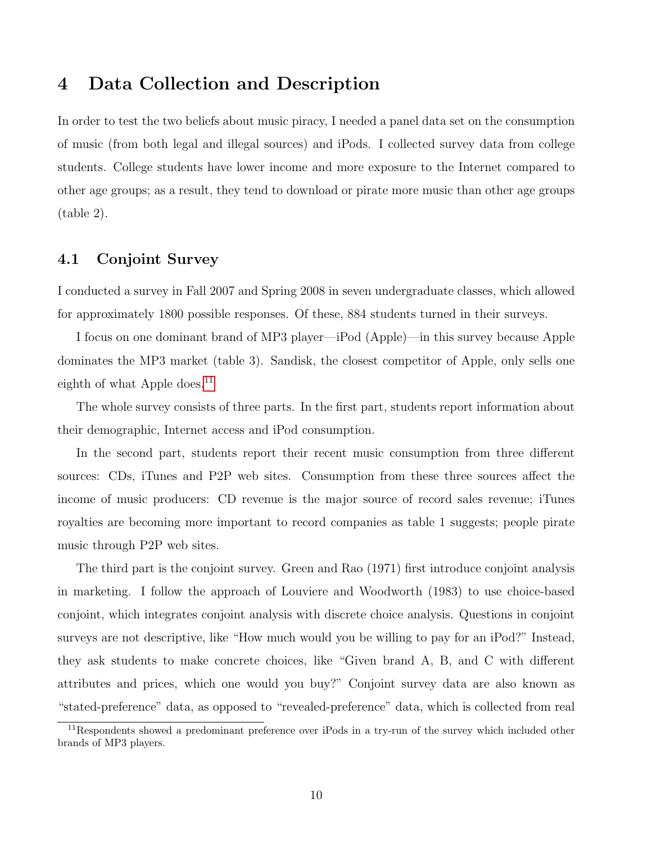## <span id="page-9-0"></span>4 Data Collection and Description

In order to test the two beliefs about music piracy, I needed a panel data set on the consumption of music (from both legal and illegal sources) and iPods. I collected survey data from college students. College students have lower income and more exposure to the Internet compared to other age groups; as a result, they tend to download or pirate more music than other age groups (table 2).

#### 4.1 Conjoint Survey

I conducted a survey in Fall 2007 and Spring 2008 in seven undergraduate classes, which allowed for approximately 1800 possible responses. Of these, 884 students turned in their surveys.

I focus on one dominant brand of MP3 player—iPod (Apple)—in this survey because Apple dominates the MP3 market (table 3). Sandisk, the closest competitor of Apple, only sells one eighth of what Apple does.<sup>[11](#page-0-0)</sup>

The whole survey consists of three parts. In the first part, students report information about their demographic, Internet access and iPod consumption.

In the second part, students report their recent music consumption from three different sources: CDs, iTunes and P2P web sites. Consumption from these three sources affect the income of music producers: CD revenue is the major source of record sales revenue; iTunes royalties are becoming more important to record companies as table 1 suggests; people pirate music through P2P web sites.

The third part is the conjoint survey. Green and Rao (1971) first introduce conjoint analysis in marketing. I follow the approach of Louviere and Woodworth (1983) to use choice-based conjoint, which integrates conjoint analysis with discrete choice analysis. Questions in conjoint surveys are not descriptive, like "How much would you be willing to pay for an iPod?" Instead, they ask students to make concrete choices, like "Given brand A, B, and C with different attributes and prices, which one would you buy?" Conjoint survey data are also known as "stated-preference" data, as opposed to "revealed-preference" data, which is collected from real

<sup>&</sup>lt;sup>11</sup>Respondents showed a predominant preference over iPods in a try-run of the survey which included other brands of MP3 players.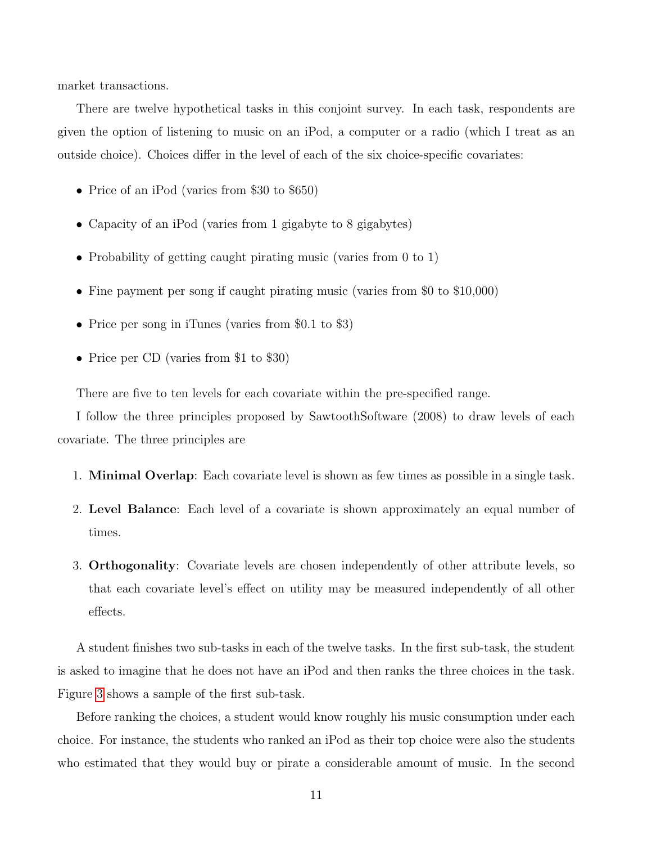market transactions.

There are twelve hypothetical tasks in this conjoint survey. In each task, respondents are given the option of listening to music on an iPod, a computer or a radio (which I treat as an outside choice). Choices differ in the level of each of the six choice-specific covariates:

- Price of an iPod (varies from \$30 to \$650)
- Capacity of an iPod (varies from 1 gigabyte to 8 gigabytes)
- Probability of getting caught pirating music (varies from 0 to 1)
- Fine payment per song if caught pirating music (varies from \$0 to \$10,000)
- Price per song in iTunes (varies from \$0.1 to \$3)
- Price per CD (varies from \$1 to \$30)

There are five to ten levels for each covariate within the pre-specified range.

I follow the three principles proposed by SawtoothSoftware (2008) to draw levels of each covariate. The three principles are

- 1. Minimal Overlap: Each covariate level is shown as few times as possible in a single task.
- 2. Level Balance: Each level of a covariate is shown approximately an equal number of times.
- 3. Orthogonality: Covariate levels are chosen independently of other attribute levels, so that each covariate level's effect on utility may be measured independently of all other effects.

A student finishes two sub-tasks in each of the twelve tasks. In the first sub-task, the student is asked to imagine that he does not have an iPod and then ranks the three choices in the task. Figure [3](#page-38-0) shows a sample of the first sub-task.

Before ranking the choices, a student would know roughly his music consumption under each choice. For instance, the students who ranked an iPod as their top choice were also the students who estimated that they would buy or pirate a considerable amount of music. In the second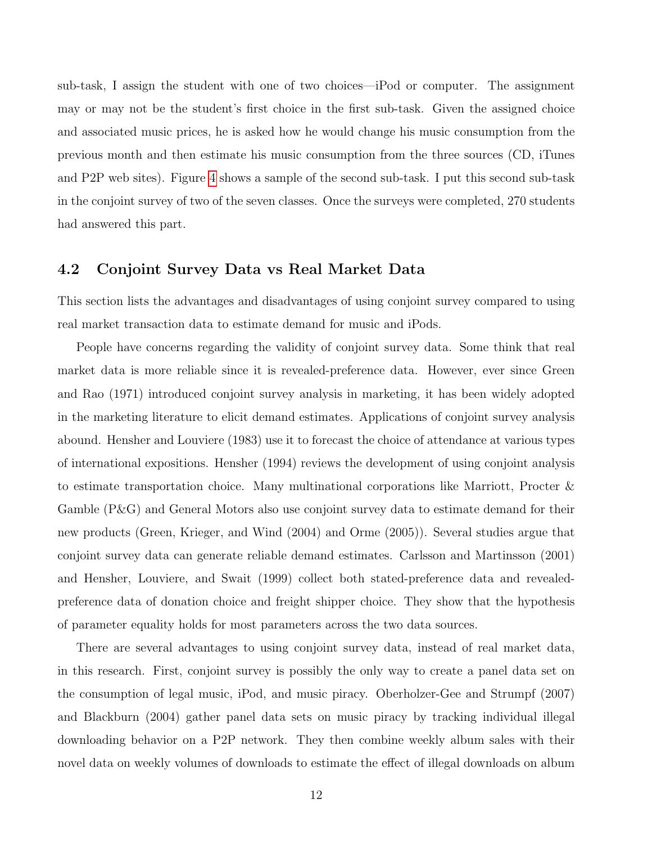sub-task, I assign the student with one of two choices—iPod or computer. The assignment may or may not be the student's first choice in the first sub-task. Given the assigned choice and associated music prices, he is asked how he would change his music consumption from the previous month and then estimate his music consumption from the three sources (CD, iTunes and P2P web sites). Figure [4](#page-38-1) shows a sample of the second sub-task. I put this second sub-task in the conjoint survey of two of the seven classes. Once the surveys were completed, 270 students had answered this part.

#### <span id="page-11-0"></span>4.2 Conjoint Survey Data vs Real Market Data

This section lists the advantages and disadvantages of using conjoint survey compared to using real market transaction data to estimate demand for music and iPods.

People have concerns regarding the validity of conjoint survey data. Some think that real market data is more reliable since it is revealed-preference data. However, ever since Green and Rao (1971) introduced conjoint survey analysis in marketing, it has been widely adopted in the marketing literature to elicit demand estimates. Applications of conjoint survey analysis abound. Hensher and Louviere (1983) use it to forecast the choice of attendance at various types of international expositions. Hensher (1994) reviews the development of using conjoint analysis to estimate transportation choice. Many multinational corporations like Marriott, Procter & Gamble (P&G) and General Motors also use conjoint survey data to estimate demand for their new products (Green, Krieger, and Wind (2004) and Orme (2005)). Several studies argue that conjoint survey data can generate reliable demand estimates. Carlsson and Martinsson (2001) and Hensher, Louviere, and Swait (1999) collect both stated-preference data and revealedpreference data of donation choice and freight shipper choice. They show that the hypothesis of parameter equality holds for most parameters across the two data sources.

There are several advantages to using conjoint survey data, instead of real market data, in this research. First, conjoint survey is possibly the only way to create a panel data set on the consumption of legal music, iPod, and music piracy. Oberholzer-Gee and Strumpf (2007) and Blackburn (2004) gather panel data sets on music piracy by tracking individual illegal downloading behavior on a P2P network. They then combine weekly album sales with their novel data on weekly volumes of downloads to estimate the effect of illegal downloads on album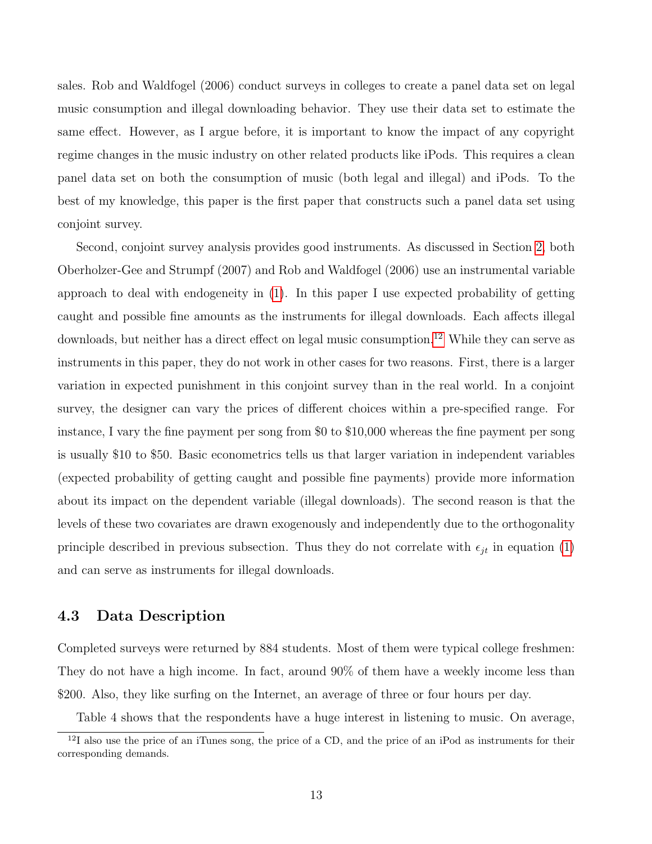sales. Rob and Waldfogel (2006) conduct surveys in colleges to create a panel data set on legal music consumption and illegal downloading behavior. They use their data set to estimate the same effect. However, as I argue before, it is important to know the impact of any copyright regime changes in the music industry on other related products like iPods. This requires a clean panel data set on both the consumption of music (both legal and illegal) and iPods. To the best of my knowledge, this paper is the first paper that constructs such a panel data set using conjoint survey.

Second, conjoint survey analysis provides good instruments. As discussed in Section [2,](#page-4-0) both Oberholzer-Gee and Strumpf (2007) and Rob and Waldfogel (2006) use an instrumental variable approach to deal with endogeneity in [\(1\)](#page-6-0). In this paper I use expected probability of getting caught and possible fine amounts as the instruments for illegal downloads. Each affects illegal downloads, but neither has a direct effect on legal music consumption.<sup>[12](#page-0-0)</sup> While they can serve as instruments in this paper, they do not work in other cases for two reasons. First, there is a larger variation in expected punishment in this conjoint survey than in the real world. In a conjoint survey, the designer can vary the prices of different choices within a pre-specified range. For instance, I vary the fine payment per song from \$0 to \$10,000 whereas the fine payment per song is usually \$10 to \$50. Basic econometrics tells us that larger variation in independent variables (expected probability of getting caught and possible fine payments) provide more information about its impact on the dependent variable (illegal downloads). The second reason is that the levels of these two covariates are drawn exogenously and independently due to the orthogonality principle described in previous subsection. Thus they do not correlate with  $\epsilon_{it}$  in equation [\(1\)](#page-6-0) and can serve as instruments for illegal downloads.

#### 4.3 Data Description

Completed surveys were returned by 884 students. Most of them were typical college freshmen: They do not have a high income. In fact, around 90% of them have a weekly income less than \$200. Also, they like surfing on the Internet, an average of three or four hours per day.

Table 4 shows that the respondents have a huge interest in listening to music. On average,

 $12I$  also use the price of an iTunes song, the price of a CD, and the price of an iPod as instruments for their corresponding demands.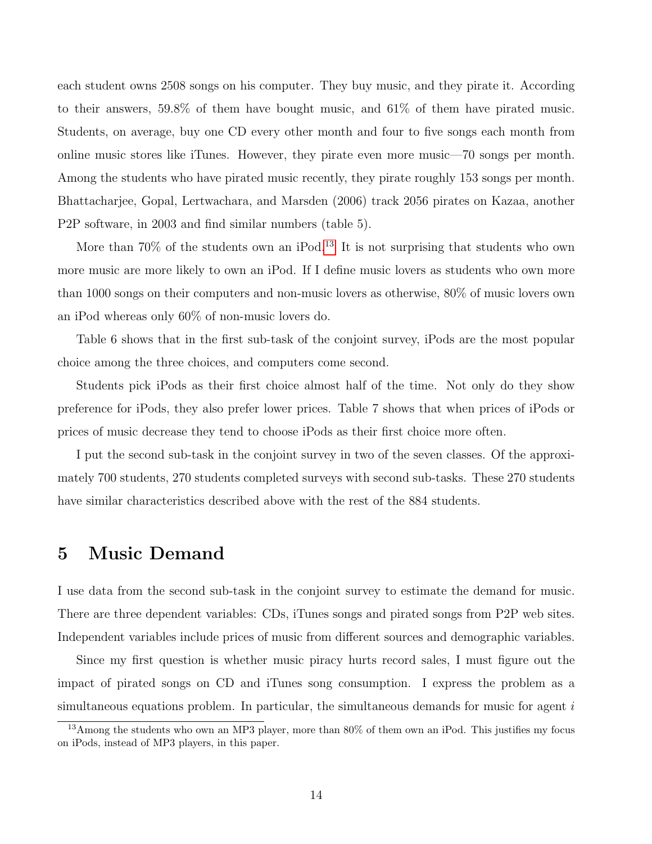each student owns 2508 songs on his computer. They buy music, and they pirate it. According to their answers, 59.8% of them have bought music, and 61% of them have pirated music. Students, on average, buy one CD every other month and four to five songs each month from online music stores like iTunes. However, they pirate even more music—70 songs per month. Among the students who have pirated music recently, they pirate roughly 153 songs per month. Bhattacharjee, Gopal, Lertwachara, and Marsden (2006) track 2056 pirates on Kazaa, another P2P software, in 2003 and find similar numbers (table 5).

More than  $70\%$  of the students own an iPod.<sup>[13](#page-0-0)</sup> It is not surprising that students who own more music are more likely to own an iPod. If I define music lovers as students who own more than 1000 songs on their computers and non-music lovers as otherwise, 80% of music lovers own an iPod whereas only 60% of non-music lovers do.

Table 6 shows that in the first sub-task of the conjoint survey, iPods are the most popular choice among the three choices, and computers come second.

Students pick iPods as their first choice almost half of the time. Not only do they show preference for iPods, they also prefer lower prices. Table 7 shows that when prices of iPods or prices of music decrease they tend to choose iPods as their first choice more often.

I put the second sub-task in the conjoint survey in two of the seven classes. Of the approximately 700 students, 270 students completed surveys with second sub-tasks. These 270 students have similar characteristics described above with the rest of the 884 students.

### <span id="page-13-0"></span>5 Music Demand

I use data from the second sub-task in the conjoint survey to estimate the demand for music. There are three dependent variables: CDs, iTunes songs and pirated songs from P2P web sites. Independent variables include prices of music from different sources and demographic variables.

Since my first question is whether music piracy hurts record sales, I must figure out the impact of pirated songs on CD and iTunes song consumption. I express the problem as a simultaneous equations problem. In particular, the simultaneous demands for music for agent  $i$ 

<sup>13</sup>Among the students who own an MP3 player, more than 80% of them own an iPod. This justifies my focus on iPods, instead of MP3 players, in this paper.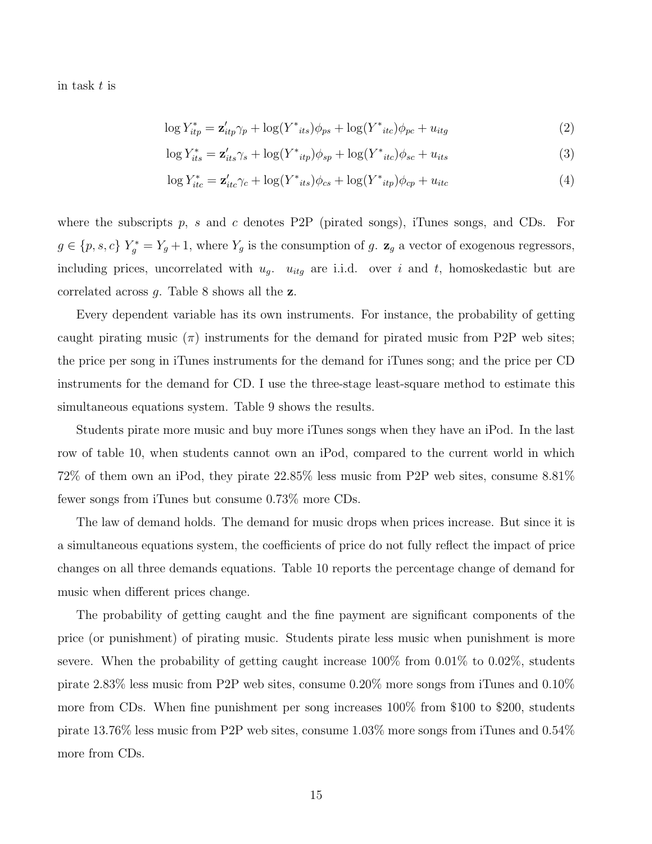in task t is

$$
\log Y_{itp}^* = \mathbf{z}_{itp}' \gamma_p + \log(Y^*_{its}) \phi_{ps} + \log(Y^*_{itc}) \phi_{pc} + u_{itg}
$$
\n
$$
\tag{2}
$$

$$
\log Y_{its}^* = \mathbf{z}_{its}'\gamma_s + \log(Y_{itp})\phi_{sp} + \log(Y_{itc})\phi_{sc} + u_{its}
$$
\n
$$
\tag{3}
$$

$$
\log Y_{itc}^* = \mathbf{z}_{itc}' \gamma_c + \log(Y_{its}) \phi_{cs} + \log(Y_{itp}) \phi_{cp} + u_{itc}
$$
\n(4)

where the subscripts  $p$ , s and c denotes P2P (pirated songs), iTunes songs, and CDs. For  $g \in \{p, s, c\}$   $Y_g^* = Y_g + 1$ , where  $Y_g$  is the consumption of g.  $\mathbf{z}_g$  a vector of exogenous regressors, including prices, uncorrelated with  $u_g$ .  $u_{itg}$  are i.i.d. over i and t, homoskedastic but are correlated across  $g$ . Table 8 shows all the  $z$ .

Every dependent variable has its own instruments. For instance, the probability of getting caught pirating music  $(\pi)$  instruments for the demand for pirated music from P2P web sites; the price per song in iTunes instruments for the demand for iTunes song; and the price per CD instruments for the demand for CD. I use the three-stage least-square method to estimate this simultaneous equations system. Table 9 shows the results.

Students pirate more music and buy more iTunes songs when they have an iPod. In the last row of table 10, when students cannot own an iPod, compared to the current world in which 72% of them own an iPod, they pirate 22.85% less music from P2P web sites, consume 8.81% fewer songs from iTunes but consume 0.73% more CDs.

The law of demand holds. The demand for music drops when prices increase. But since it is a simultaneous equations system, the coefficients of price do not fully reflect the impact of price changes on all three demands equations. Table 10 reports the percentage change of demand for music when different prices change.

The probability of getting caught and the fine payment are significant components of the price (or punishment) of pirating music. Students pirate less music when punishment is more severe. When the probability of getting caught increase 100% from 0.01% to 0.02%, students pirate 2.83% less music from P2P web sites, consume 0.20% more songs from iTunes and 0.10% more from CDs. When fine punishment per song increases 100% from \$100 to \$200, students pirate 13.76% less music from P2P web sites, consume 1.03% more songs from iTunes and 0.54% more from CDs.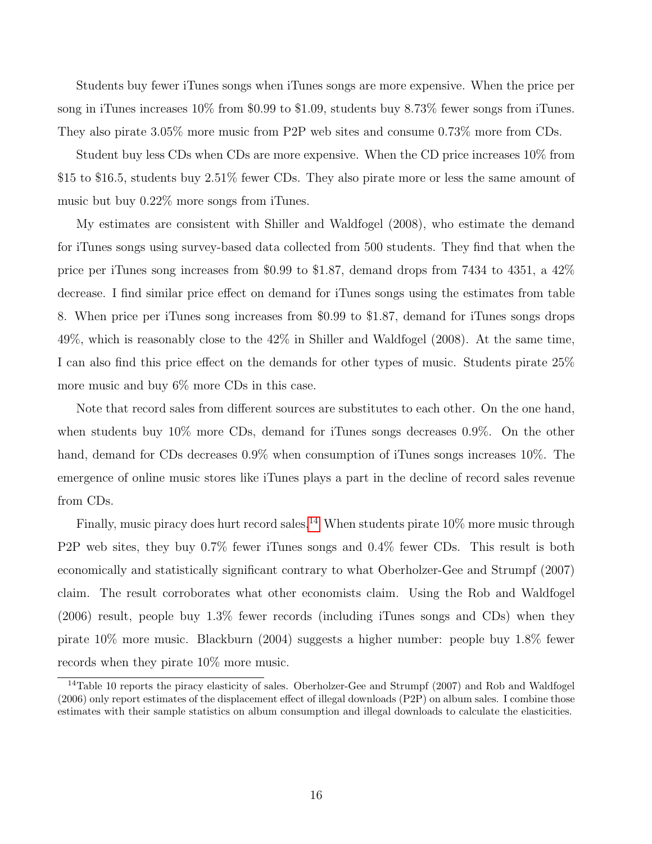Students buy fewer iTunes songs when iTunes songs are more expensive. When the price per song in iTunes increases 10% from \$0.99 to \$1.09, students buy 8.73% fewer songs from iTunes. They also pirate 3.05% more music from P2P web sites and consume 0.73% more from CDs.

Student buy less CDs when CDs are more expensive. When the CD price increases 10% from \$15 to \$16.5, students buy 2.51% fewer CDs. They also pirate more or less the same amount of music but buy 0.22% more songs from iTunes.

My estimates are consistent with Shiller and Waldfogel (2008), who estimate the demand for iTunes songs using survey-based data collected from 500 students. They find that when the price per iTunes song increases from \$0.99 to \$1.87, demand drops from 7434 to 4351, a 42% decrease. I find similar price effect on demand for iTunes songs using the estimates from table 8. When price per iTunes song increases from \$0.99 to \$1.87, demand for iTunes songs drops 49%, which is reasonably close to the 42% in Shiller and Waldfogel (2008). At the same time, I can also find this price effect on the demands for other types of music. Students pirate 25% more music and buy 6% more CDs in this case.

Note that record sales from different sources are substitutes to each other. On the one hand, when students buy 10% more CDs, demand for iTunes songs decreases 0.9%. On the other hand, demand for CDs decreases  $0.9\%$  when consumption of iTunes songs increases  $10\%$ . The emergence of online music stores like iTunes plays a part in the decline of record sales revenue from CDs.

Finally, music piracy does hurt record sales.<sup>[14](#page-0-0)</sup> When students pirate  $10\%$  more music through P2P web sites, they buy 0.7% fewer iTunes songs and 0.4% fewer CDs. This result is both economically and statistically significant contrary to what Oberholzer-Gee and Strumpf (2007) claim. The result corroborates what other economists claim. Using the Rob and Waldfogel (2006) result, people buy 1.3% fewer records (including iTunes songs and CDs) when they pirate 10% more music. Blackburn (2004) suggests a higher number: people buy 1.8% fewer records when they pirate 10% more music.

<sup>&</sup>lt;sup>14</sup>Table 10 reports the piracy elasticity of sales. Oberholzer-Gee and Strumpf (2007) and Rob and Waldfogel (2006) only report estimates of the displacement effect of illegal downloads (P2P) on album sales. I combine those estimates with their sample statistics on album consumption and illegal downloads to calculate the elasticities.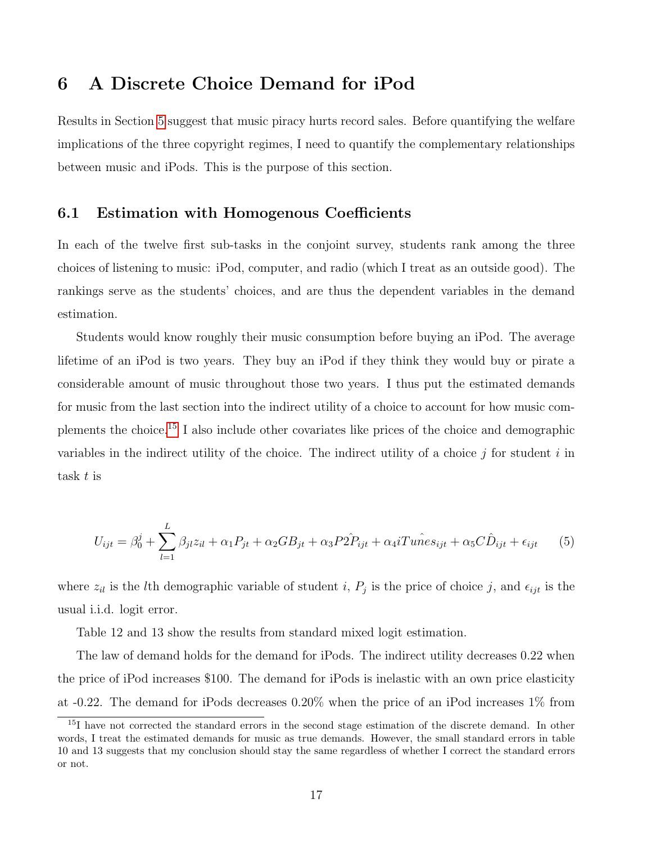# <span id="page-16-0"></span>6 A Discrete Choice Demand for iPod

Results in Section [5](#page-13-0) suggest that music piracy hurts record sales. Before quantifying the welfare implications of the three copyright regimes, I need to quantify the complementary relationships between music and iPods. This is the purpose of this section.

#### 6.1 Estimation with Homogenous Coefficients

In each of the twelve first sub-tasks in the conjoint survey, students rank among the three choices of listening to music: iPod, computer, and radio (which I treat as an outside good). The rankings serve as the students' choices, and are thus the dependent variables in the demand estimation.

Students would know roughly their music consumption before buying an iPod. The average lifetime of an iPod is two years. They buy an iPod if they think they would buy or pirate a considerable amount of music throughout those two years. I thus put the estimated demands for music from the last section into the indirect utility of a choice to account for how music complements the choice.[15](#page-0-0) I also include other covariates like prices of the choice and demographic variables in the indirect utility of the choice. The indirect utility of a choice  $j$  for student  $i$  in task t is

$$
U_{ijt} = \beta_0^j + \sum_{l=1}^L \beta_{jl} z_{il} + \alpha_1 P_{jt} + \alpha_2 GB_{jt} + \alpha_3 P \hat{2P}_{ijt} + \alpha_4 i T u \hat{n} e s_{ijt} + \alpha_5 C \hat{D}_{ijt} + \epsilon_{ijt}
$$
 (5)

where  $z_{il}$  is the lth demographic variable of student i,  $P_j$  is the price of choice j, and  $\epsilon_{ijt}$  is the usual i.i.d. logit error.

Table 12 and 13 show the results from standard mixed logit estimation.

The law of demand holds for the demand for iPods. The indirect utility decreases 0.22 when the price of iPod increases \$100. The demand for iPods is inelastic with an own price elasticity at -0.22. The demand for iPods decreases 0.20% when the price of an iPod increases 1% from

<sup>&</sup>lt;sup>15</sup>I have not corrected the standard errors in the second stage estimation of the discrete demand. In other words, I treat the estimated demands for music as true demands. However, the small standard errors in table 10 and 13 suggests that my conclusion should stay the same regardless of whether I correct the standard errors or not.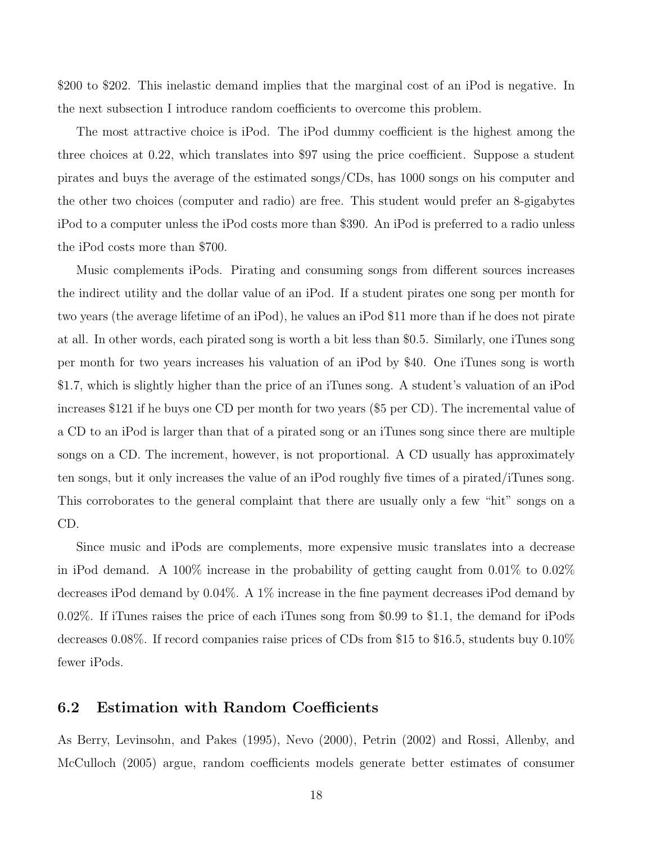\$200 to \$202. This inelastic demand implies that the marginal cost of an iPod is negative. In the next subsection I introduce random coefficients to overcome this problem.

The most attractive choice is iPod. The iPod dummy coefficient is the highest among the three choices at 0.22, which translates into \$97 using the price coefficient. Suppose a student pirates and buys the average of the estimated songs/CDs, has 1000 songs on his computer and the other two choices (computer and radio) are free. This student would prefer an 8-gigabytes iPod to a computer unless the iPod costs more than \$390. An iPod is preferred to a radio unless the iPod costs more than \$700.

Music complements iPods. Pirating and consuming songs from different sources increases the indirect utility and the dollar value of an iPod. If a student pirates one song per month for two years (the average lifetime of an iPod), he values an iPod \$11 more than if he does not pirate at all. In other words, each pirated song is worth a bit less than \$0.5. Similarly, one iTunes song per month for two years increases his valuation of an iPod by \$40. One iTunes song is worth \$1.7, which is slightly higher than the price of an iTunes song. A student's valuation of an iPod increases \$121 if he buys one CD per month for two years (\$5 per CD). The incremental value of a CD to an iPod is larger than that of a pirated song or an iTunes song since there are multiple songs on a CD. The increment, however, is not proportional. A CD usually has approximately ten songs, but it only increases the value of an iPod roughly five times of a pirated/iTunes song. This corroborates to the general complaint that there are usually only a few "hit" songs on a CD.

Since music and iPods are complements, more expensive music translates into a decrease in iPod demand. A 100% increase in the probability of getting caught from 0.01% to 0.02% decreases iPod demand by 0.04%. A 1% increase in the fine payment decreases iPod demand by 0.02%. If iTunes raises the price of each iTunes song from \$0.99 to \$1.1, the demand for iPods decreases 0.08%. If record companies raise prices of CDs from \$15 to \$16.5, students buy 0.10% fewer iPods.

#### 6.2 Estimation with Random Coefficients

As Berry, Levinsohn, and Pakes (1995), Nevo (2000), Petrin (2002) and Rossi, Allenby, and McCulloch (2005) argue, random coefficients models generate better estimates of consumer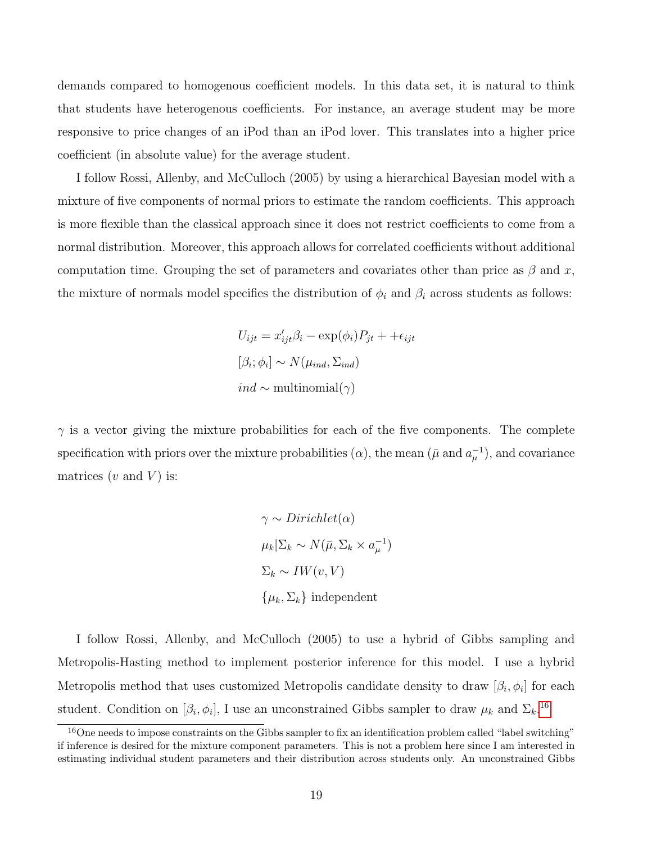demands compared to homogenous coefficient models. In this data set, it is natural to think that students have heterogenous coefficients. For instance, an average student may be more responsive to price changes of an iPod than an iPod lover. This translates into a higher price coefficient (in absolute value) for the average student.

I follow Rossi, Allenby, and McCulloch (2005) by using a hierarchical Bayesian model with a mixture of five components of normal priors to estimate the random coefficients. This approach is more flexible than the classical approach since it does not restrict coefficients to come from a normal distribution. Moreover, this approach allows for correlated coefficients without additional computation time. Grouping the set of parameters and covariates other than price as  $\beta$  and x, the mixture of normals model specifies the distribution of  $\phi_i$  and  $\beta_i$  across students as follows:

$$
U_{ijt} = x'_{ijt}\beta_i - \exp(\phi_i)P_{jt} + +\epsilon_{ijt}
$$

$$
[\beta_i; \phi_i] \sim N(\mu_{ind}, \Sigma_{ind})
$$

$$
ind \sim \text{multinomial}(\gamma)
$$

 $\gamma$  is a vector giving the mixture probabilities for each of the five components. The complete specification with priors over the mixture probabilities  $(\alpha)$ , the mean  $(\bar{\mu} \text{ and } a_{\mu}^{-1})$ , and covariance matrices  $(v \text{ and } V)$  is:

$$
\gamma \sim Dirichlet(\alpha)
$$
  
\n
$$
\mu_k|\Sigma_k \sim N(\bar{\mu}, \Sigma_k \times a_{\mu}^{-1})
$$
  
\n
$$
\Sigma_k \sim IW(v, V)
$$
  
\n
$$
\{\mu_k, \Sigma_k\} \text{ independent}
$$

I follow Rossi, Allenby, and McCulloch (2005) to use a hybrid of Gibbs sampling and Metropolis-Hasting method to implement posterior inference for this model. I use a hybrid Metropolis method that uses customized Metropolis candidate density to draw  $[\beta_i, \phi_i]$  for each student. Condition on  $[\beta_i, \phi_i]$ , I use an unconstrained Gibbs sampler to draw  $\mu_k$  and  $\Sigma_k$ .<sup>[16](#page-0-0)</sup>

 $16$ One needs to impose constraints on the Gibbs sampler to fix an identification problem called "label switching" if inference is desired for the mixture component parameters. This is not a problem here since I am interested in estimating individual student parameters and their distribution across students only. An unconstrained Gibbs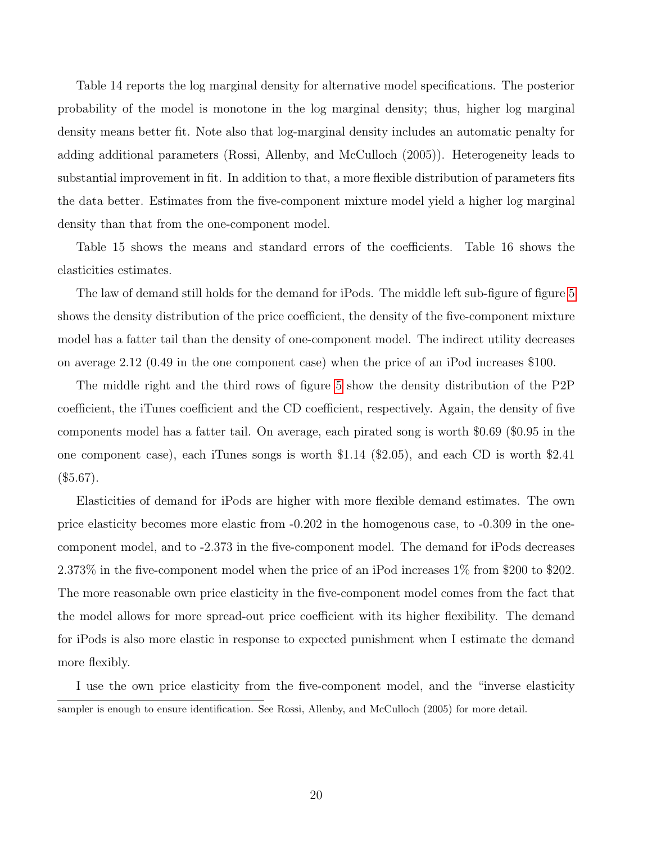Table 14 reports the log marginal density for alternative model specifications. The posterior probability of the model is monotone in the log marginal density; thus, higher log marginal density means better fit. Note also that log-marginal density includes an automatic penalty for adding additional parameters (Rossi, Allenby, and McCulloch (2005)). Heterogeneity leads to substantial improvement in fit. In addition to that, a more flexible distribution of parameters fits the data better. Estimates from the five-component mixture model yield a higher log marginal density than that from the one-component model.

Table 15 shows the means and standard errors of the coefficients. Table 16 shows the elasticities estimates.

The law of demand still holds for the demand for iPods. The middle left sub-figure of figure [5](#page-39-0) shows the density distribution of the price coefficient, the density of the five-component mixture model has a fatter tail than the density of one-component model. The indirect utility decreases on average 2.12 (0.49 in the one component case) when the price of an iPod increases \$100.

The middle right and the third rows of figure [5](#page-39-0) show the density distribution of the P2P coefficient, the iTunes coefficient and the CD coefficient, respectively. Again, the density of five components model has a fatter tail. On average, each pirated song is worth \$0.69 (\$0.95 in the one component case), each iTunes songs is worth \$1.14 (\$2.05), and each CD is worth \$2.41  $(\$5.67).$ 

Elasticities of demand for iPods are higher with more flexible demand estimates. The own price elasticity becomes more elastic from -0.202 in the homogenous case, to -0.309 in the onecomponent model, and to -2.373 in the five-component model. The demand for iPods decreases 2.373% in the five-component model when the price of an iPod increases 1% from \$200 to \$202. The more reasonable own price elasticity in the five-component model comes from the fact that the model allows for more spread-out price coefficient with its higher flexibility. The demand for iPods is also more elastic in response to expected punishment when I estimate the demand more flexibly.

I use the own price elasticity from the five-component model, and the "inverse elasticity sampler is enough to ensure identification. See Rossi, Allenby, and McCulloch (2005) for more detail.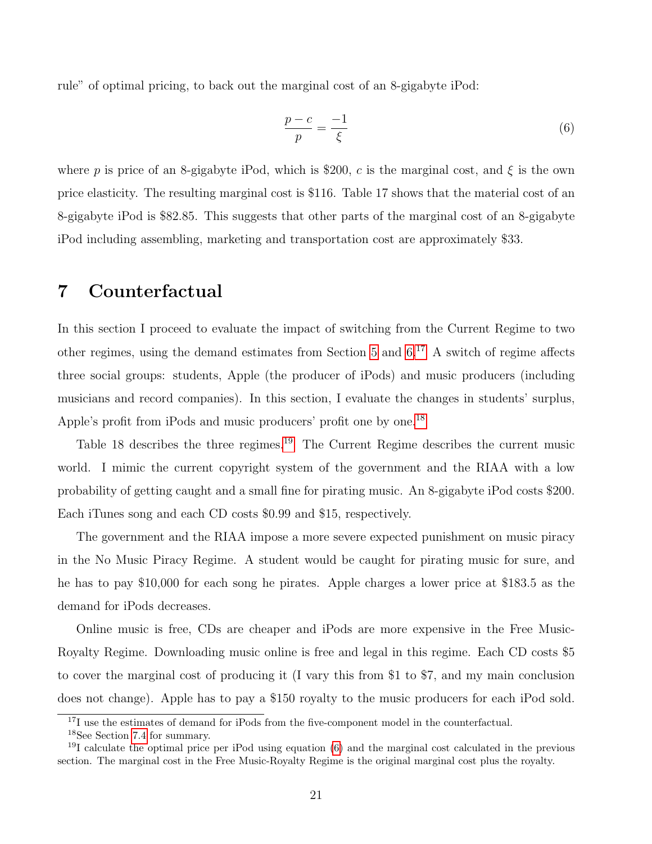rule" of optimal pricing, to back out the marginal cost of an 8-gigabyte iPod:

<span id="page-20-1"></span>
$$
\frac{p-c}{p} = \frac{-1}{\xi} \tag{6}
$$

where p is price of an 8-gigabyte iPod, which is \$200, c is the marginal cost, and  $\xi$  is the own price elasticity. The resulting marginal cost is \$116. Table 17 shows that the material cost of an 8-gigabyte iPod is \$82.85. This suggests that other parts of the marginal cost of an 8-gigabyte iPod including assembling, marketing and transportation cost are approximately \$33.

### <span id="page-20-0"></span>7 Counterfactual

In this section I proceed to evaluate the impact of switching from the Current Regime to two other regimes, using the demand estimates from Section [5](#page-13-0) and [6.](#page-16-0)[17](#page-0-0) A switch of regime affects three social groups: students, Apple (the producer of iPods) and music producers (including musicians and record companies). In this section, I evaluate the changes in students' surplus, Apple's profit from iPods and music producers' profit one by one.<sup>[18](#page-0-0)</sup>

Table 18 describes the three regimes.<sup>[19](#page-0-0)</sup> The Current Regime describes the current music world. I mimic the current copyright system of the government and the RIAA with a low probability of getting caught and a small fine for pirating music. An 8-gigabyte iPod costs \$200. Each iTunes song and each CD costs \$0.99 and \$15, respectively.

The government and the RIAA impose a more severe expected punishment on music piracy in the No Music Piracy Regime. A student would be caught for pirating music for sure, and he has to pay \$10,000 for each song he pirates. Apple charges a lower price at \$183.5 as the demand for iPods decreases.

Online music is free, CDs are cheaper and iPods are more expensive in the Free Music-Royalty Regime. Downloading music online is free and legal in this regime. Each CD costs \$5 to cover the marginal cost of producing it (I vary this from \$1 to \$7, and my main conclusion does not change). Apple has to pay a \$150 royalty to the music producers for each iPod sold.

<sup>&</sup>lt;sup>17</sup>I use the estimates of demand for iPods from the five-component model in the counterfactual.

<sup>18</sup>See Section [7.4](#page-23-1) for summary.

<sup>&</sup>lt;sup>19</sup>I calculate the optimal price per iPod using equation  $(6)$  and the marginal cost calculated in the previous section. The marginal cost in the Free Music-Royalty Regime is the original marginal cost plus the royalty.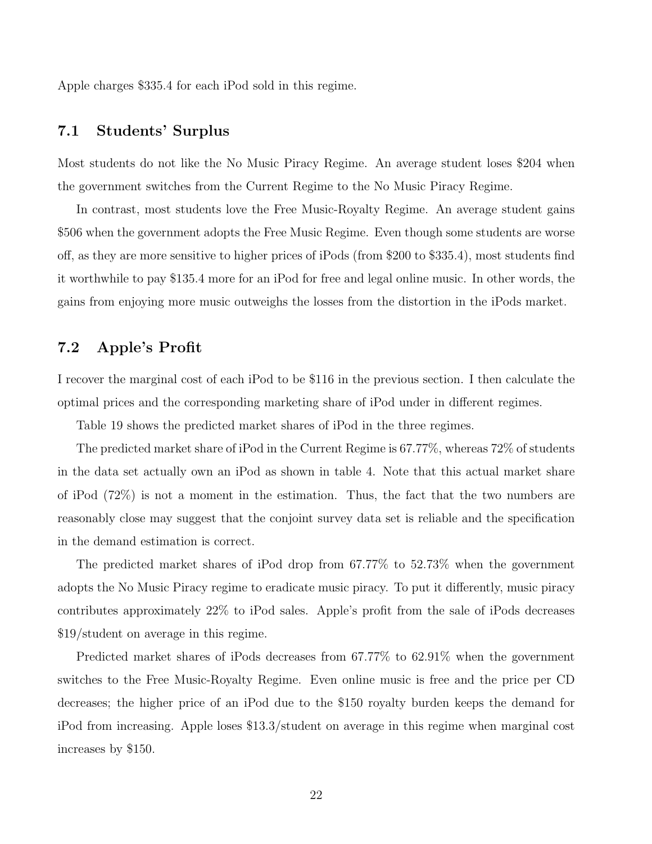Apple charges \$335.4 for each iPod sold in this regime.

### 7.1 Students' Surplus

Most students do not like the No Music Piracy Regime. An average student loses \$204 when the government switches from the Current Regime to the No Music Piracy Regime.

In contrast, most students love the Free Music-Royalty Regime. An average student gains \$506 when the government adopts the Free Music Regime. Even though some students are worse off, as they are more sensitive to higher prices of iPods (from \$200 to \$335.4), most students find it worthwhile to pay \$135.4 more for an iPod for free and legal online music. In other words, the gains from enjoying more music outweighs the losses from the distortion in the iPods market.

### 7.2 Apple's Profit

I recover the marginal cost of each iPod to be \$116 in the previous section. I then calculate the optimal prices and the corresponding marketing share of iPod under in different regimes.

Table 19 shows the predicted market shares of iPod in the three regimes.

The predicted market share of iPod in the Current Regime is 67.77%, whereas 72% of students in the data set actually own an iPod as shown in table 4. Note that this actual market share of iPod (72%) is not a moment in the estimation. Thus, the fact that the two numbers are reasonably close may suggest that the conjoint survey data set is reliable and the specification in the demand estimation is correct.

The predicted market shares of iPod drop from 67.77% to 52.73% when the government adopts the No Music Piracy regime to eradicate music piracy. To put it differently, music piracy contributes approximately 22% to iPod sales. Apple's profit from the sale of iPods decreases \$19/student on average in this regime.

Predicted market shares of iPods decreases from 67.77% to 62.91% when the government switches to the Free Music-Royalty Regime. Even online music is free and the price per CD decreases; the higher price of an iPod due to the \$150 royalty burden keeps the demand for iPod from increasing. Apple loses \$13.3/student on average in this regime when marginal cost increases by \$150.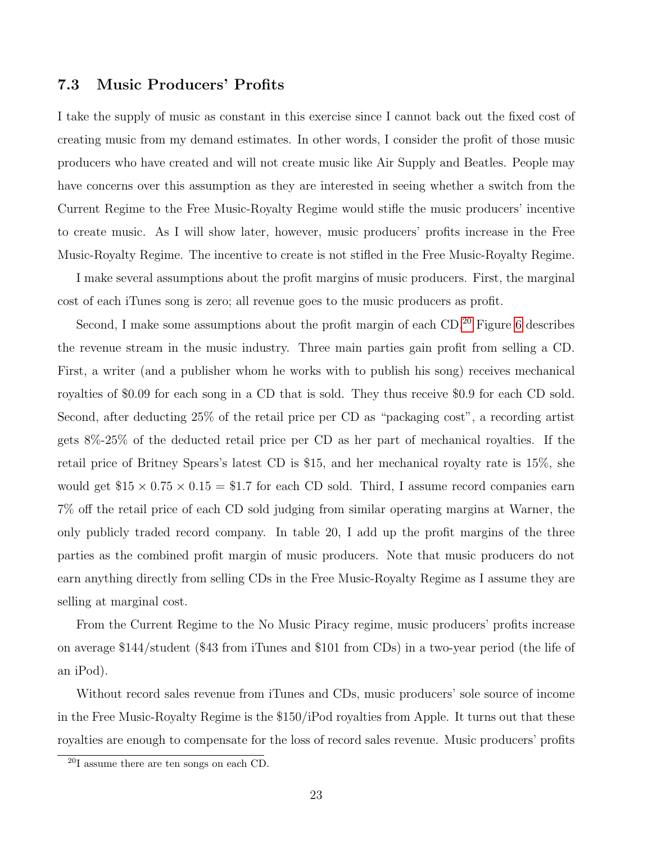#### 7.3 Music Producers' Profits

I take the supply of music as constant in this exercise since I cannot back out the fixed cost of creating music from my demand estimates. In other words, I consider the profit of those music producers who have created and will not create music like Air Supply and Beatles. People may have concerns over this assumption as they are interested in seeing whether a switch from the Current Regime to the Free Music-Royalty Regime would stifle the music producers' incentive to create music. As I will show later, however, music producers' profits increase in the Free Music-Royalty Regime. The incentive to create is not stifled in the Free Music-Royalty Regime.

I make several assumptions about the profit margins of music producers. First, the marginal cost of each iTunes song is zero; all revenue goes to the music producers as profit.

Second, I make some assumptions about the profit margin of each CD.<sup>[20](#page-0-0)</sup> Figure [6](#page-40-0) describes the revenue stream in the music industry. Three main parties gain profit from selling a CD. First, a writer (and a publisher whom he works with to publish his song) receives mechanical royalties of \$0.09 for each song in a CD that is sold. They thus receive \$0.9 for each CD sold. Second, after deducting 25% of the retail price per CD as "packaging cost", a recording artist gets 8%-25% of the deducted retail price per CD as her part of mechanical royalties. If the retail price of Britney Spears's latest CD is \$15, and her mechanical royalty rate is 15%, she would get  $$15 \times 0.75 \times 0.15 = $1.7$  for each CD sold. Third, I assume record companies earn 7% off the retail price of each CD sold judging from similar operating margins at Warner, the only publicly traded record company. In table 20, I add up the profit margins of the three parties as the combined profit margin of music producers. Note that music producers do not earn anything directly from selling CDs in the Free Music-Royalty Regime as I assume they are selling at marginal cost.

From the Current Regime to the No Music Piracy regime, music producers' profits increase on average \$144/student (\$43 from iTunes and \$101 from CDs) in a two-year period (the life of an iPod).

Without record sales revenue from iTunes and CDs, music producers' sole source of income in the Free Music-Royalty Regime is the \$150/iPod royalties from Apple. It turns out that these royalties are enough to compensate for the loss of record sales revenue. Music producers' profits

<sup>20</sup>I assume there are ten songs on each CD.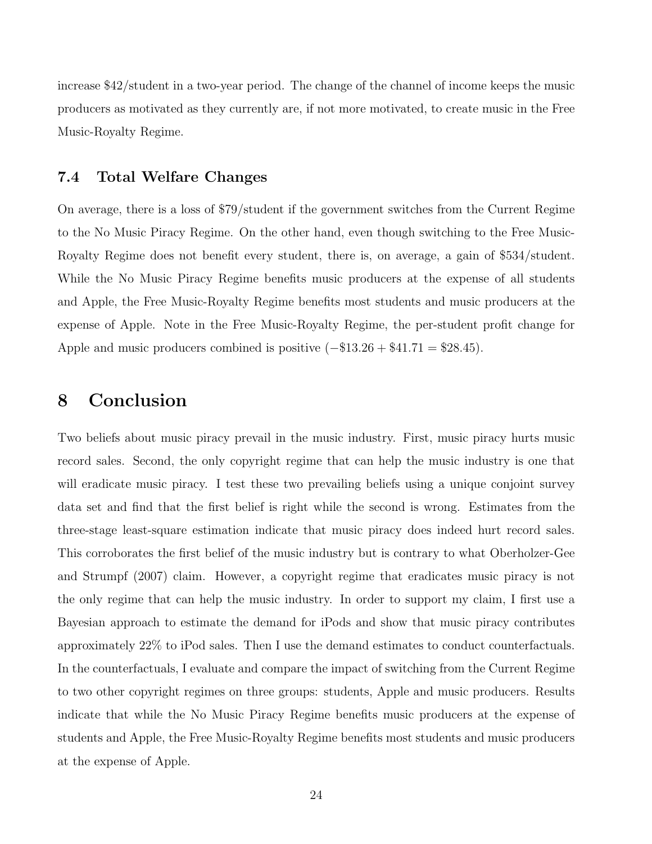increase \$42/student in a two-year period. The change of the channel of income keeps the music producers as motivated as they currently are, if not more motivated, to create music in the Free Music-Royalty Regime.

#### <span id="page-23-1"></span>7.4 Total Welfare Changes

On average, there is a loss of \$79/student if the government switches from the Current Regime to the No Music Piracy Regime. On the other hand, even though switching to the Free Music-Royalty Regime does not benefit every student, there is, on average, a gain of \$534/student. While the No Music Piracy Regime benefits music producers at the expense of all students and Apple, the Free Music-Royalty Regime benefits most students and music producers at the expense of Apple. Note in the Free Music-Royalty Regime, the per-student profit change for Apple and music producers combined is positive  $(-\$13.26 + \$41.71 = \$28.45)$ .

## <span id="page-23-0"></span>8 Conclusion

Two beliefs about music piracy prevail in the music industry. First, music piracy hurts music record sales. Second, the only copyright regime that can help the music industry is one that will eradicate music piracy. I test these two prevailing beliefs using a unique conjoint survey data set and find that the first belief is right while the second is wrong. Estimates from the three-stage least-square estimation indicate that music piracy does indeed hurt record sales. This corroborates the first belief of the music industry but is contrary to what Oberholzer-Gee and Strumpf (2007) claim. However, a copyright regime that eradicates music piracy is not the only regime that can help the music industry. In order to support my claim, I first use a Bayesian approach to estimate the demand for iPods and show that music piracy contributes approximately 22% to iPod sales. Then I use the demand estimates to conduct counterfactuals. In the counterfactuals, I evaluate and compare the impact of switching from the Current Regime to two other copyright regimes on three groups: students, Apple and music producers. Results indicate that while the No Music Piracy Regime benefits music producers at the expense of students and Apple, the Free Music-Royalty Regime benefits most students and music producers at the expense of Apple.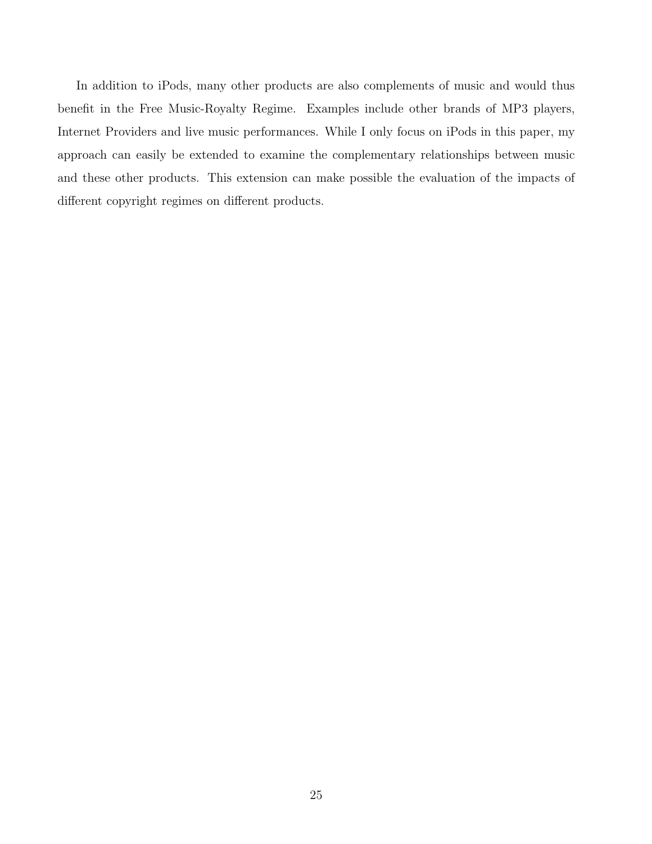In addition to iPods, many other products are also complements of music and would thus benefit in the Free Music-Royalty Regime. Examples include other brands of MP3 players, Internet Providers and live music performances. While I only focus on iPods in this paper, my approach can easily be extended to examine the complementary relationships between music and these other products. This extension can make possible the evaluation of the impacts of different copyright regimes on different products.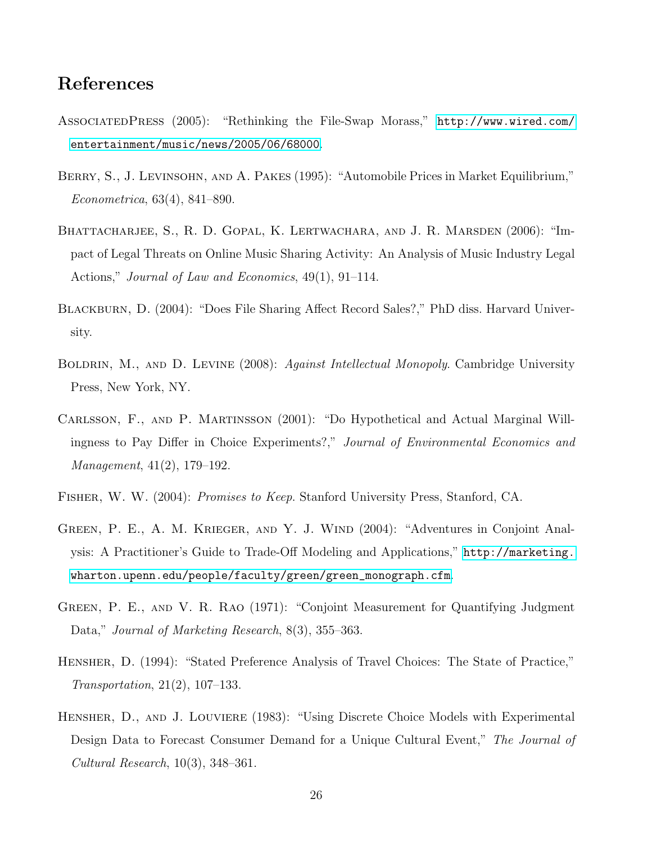# References

- AssociatedPress (2005): "Rethinking the File-Swap Morass," [http://www.wired.com/](http://www.wired.com/entertainment/music/news/2005/06/68000) [entertainment/music/news/2005/06/68000](http://www.wired.com/entertainment/music/news/2005/06/68000).
- BERRY, S., J. LEVINSOHN, AND A. PAKES (1995): "Automobile Prices in Market Equilibrium," Econometrica, 63(4), 841–890.
- BHATTACHARJEE, S., R. D. GOPAL, K. LERTWACHARA, AND J. R. MARSDEN (2006): "Impact of Legal Threats on Online Music Sharing Activity: An Analysis of Music Industry Legal Actions," Journal of Law and Economics, 49(1), 91–114.
- BLACKBURN, D. (2004): "Does File Sharing Affect Record Sales?," PhD diss. Harvard University.
- BOLDRIN, M., AND D. LEVINE (2008): Against Intellectual Monopoly. Cambridge University Press, New York, NY.
- Carlsson, F., and P. Martinsson (2001): "Do Hypothetical and Actual Marginal Willingness to Pay Differ in Choice Experiments?," Journal of Environmental Economics and Management, 41(2), 179–192.
- Fisher, W. W. (2004): Promises to Keep. Stanford University Press, Stanford, CA.
- Green, P. E., A. M. Krieger, and Y. J. Wind (2004): "Adventures in Conjoint Analysis: A Practitioner's Guide to Trade-Off Modeling and Applications," [http://marketing.](http://marketing.wharton.upenn.edu/people/faculty/green/green_monograph.cfm) [wharton.upenn.edu/people/faculty/green/green\\_monograph.cfm](http://marketing.wharton.upenn.edu/people/faculty/green/green_monograph.cfm).
- Green, P. E., and V. R. Rao (1971): "Conjoint Measurement for Quantifying Judgment Data," Journal of Marketing Research, 8(3), 355–363.
- Hensher, D. (1994): "Stated Preference Analysis of Travel Choices: The State of Practice," Transportation, 21(2), 107–133.
- Hensher, D., and J. Louviere (1983): "Using Discrete Choice Models with Experimental Design Data to Forecast Consumer Demand for a Unique Cultural Event," The Journal of Cultural Research, 10(3), 348–361.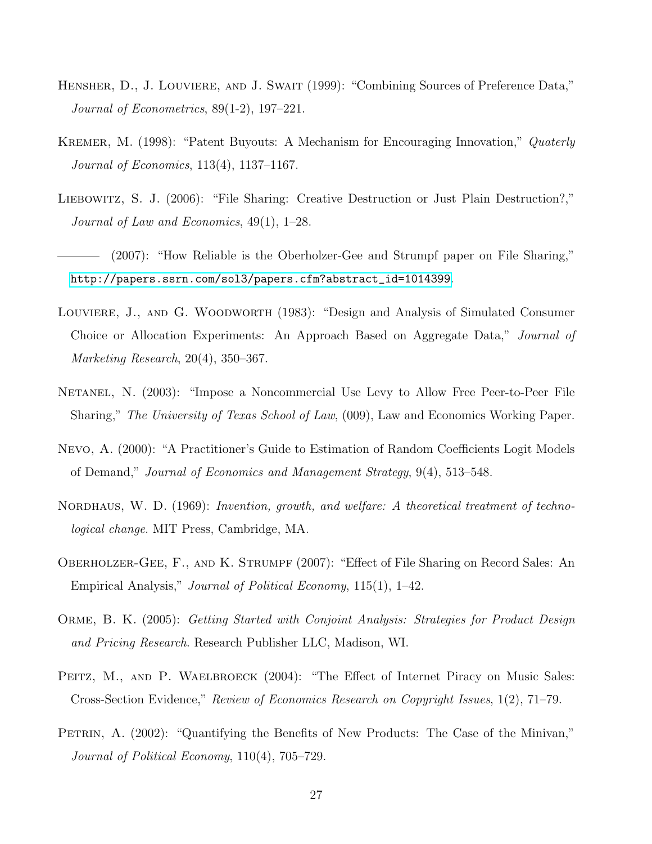- HENSHER, D., J. LOUVIERE, AND J. SWAIT (1999): "Combining Sources of Preference Data," Journal of Econometrics, 89(1-2), 197–221.
- KREMER, M. (1998): "Patent Buyouts: A Mechanism for Encouraging Innovation," Quaterly Journal of Economics, 113(4), 1137–1167.
- LIEBOWITZ, S. J. (2006): "File Sharing: Creative Destruction or Just Plain Destruction?," Journal of Law and Economics, 49(1), 1–28.
- (2007): "How Reliable is the Oberholzer-Gee and Strumpf paper on File Sharing," [http://papers.ssrn.com/sol3/papers.cfm?abstract\\_id=1014399](http://papers.ssrn.com/sol3/papers.cfm?abstract_id=1014399).
- Louviere, J., and G. Woodworth (1983): "Design and Analysis of Simulated Consumer Choice or Allocation Experiments: An Approach Based on Aggregate Data," Journal of Marketing Research, 20(4), 350–367.
- NETANEL, N. (2003): "Impose a Noncommercial Use Levy to Allow Free Peer-to-Peer File Sharing," The University of Texas School of Law, (009), Law and Economics Working Paper.
- Nevo, A. (2000): "A Practitioner's Guide to Estimation of Random Coefficients Logit Models of Demand," Journal of Economics and Management Strategy, 9(4), 513–548.
- NORDHAUS, W. D. (1969): Invention, growth, and welfare: A theoretical treatment of technological change. MIT Press, Cambridge, MA.
- Oberholzer-Gee, F., and K. Strumpf (2007): "Effect of File Sharing on Record Sales: An Empirical Analysis," Journal of Political Economy, 115(1), 1–42.
- Orme, B. K. (2005): Getting Started with Conjoint Analysis: Strategies for Product Design and Pricing Research. Research Publisher LLC, Madison, WI.
- PEITZ, M., AND P. WAELBROECK (2004): "The Effect of Internet Piracy on Music Sales: Cross-Section Evidence," Review of Economics Research on Copyright Issues, 1(2), 71–79.
- PETRIN, A. (2002): "Quantifying the Benefits of New Products: The Case of the Minivan," Journal of Political Economy, 110(4), 705–729.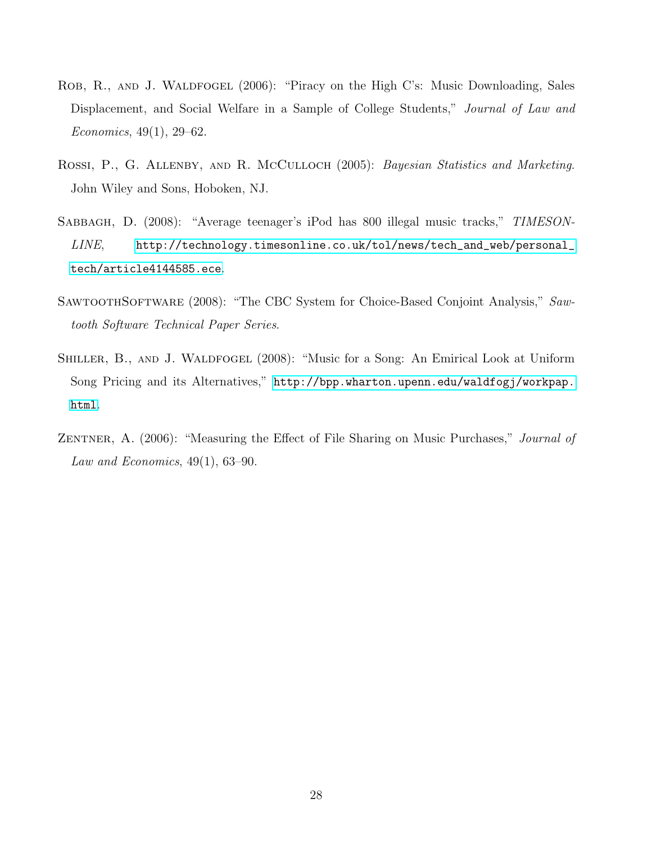- ROB, R., AND J. WALDFOGEL (2006): "Piracy on the High C's: Music Downloading, Sales Displacement, and Social Welfare in a Sample of College Students," Journal of Law and Economics, 49(1), 29–62.
- ROSSI, P., G. ALLENBY, AND R. MCCULLOCH (2005): Bayesian Statistics and Marketing. John Wiley and Sons, Hoboken, NJ.
- SABBAGH, D. (2008): "Average teenager's iPod has 800 illegal music tracks," TIMESON-LINE, [http://technology.timesonline.co.uk/tol/news/tech\\_and\\_web/personal\\_](http://technology.timesonline.co.uk/tol/news/tech_and_web/personal_tech/article4144585.ece) [tech/article4144585.ece](http://technology.timesonline.co.uk/tol/news/tech_and_web/personal_tech/article4144585.ece).
- SAWTOOTHSOFTWARE (2008): "The CBC System for Choice-Based Conjoint Analysis," Sawtooth Software Technical Paper Series.
- SHILLER, B., AND J. WALDFOGEL (2008): "Music for a Song: An Emirical Look at Uniform Song Pricing and its Alternatives," [http://bpp.wharton.upenn.edu/waldfogj/workpap.](http://bpp.wharton.upenn.edu/waldfogj/workpap.html) [html](http://bpp.wharton.upenn.edu/waldfogj/workpap.html).
- ZENTNER, A. (2006): "Measuring the Effect of File Sharing on Music Purchases," Journal of Law and Economics,  $49(1)$ , 63-90.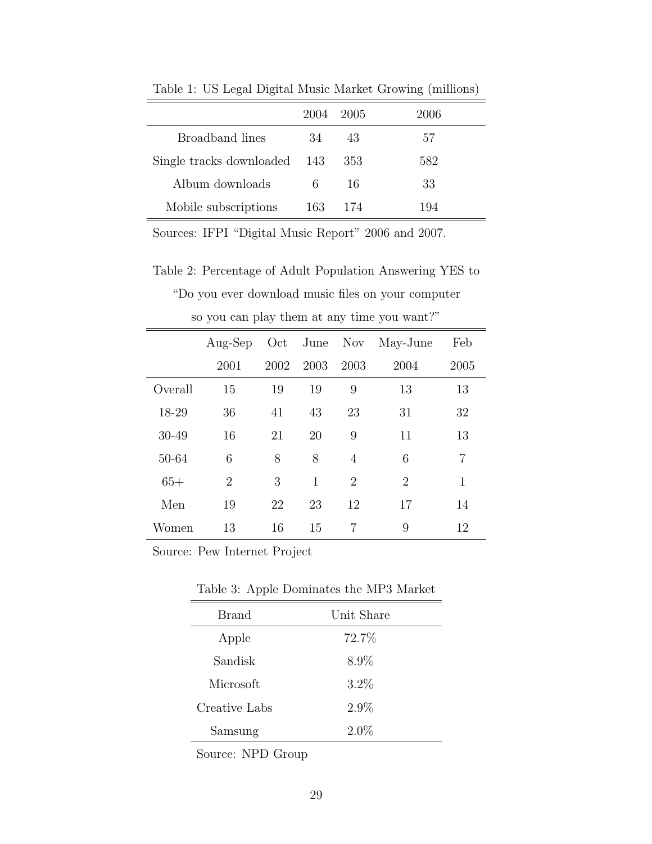|                              | 2004 | 2005 | <b>2006</b> |
|------------------------------|------|------|-------------|
| Broadband lines              | 34   | 43   | 57          |
| Single tracks downloaded 143 |      | 353  | 582         |
| Album downloads              | 6    | 16   | 33          |
| Mobile subscriptions         | 163  | 174  | 194         |

Table 1: US Legal Digital Music Market Growing (millions)

Sources: IFPI "Digital Music Report" 2006 and 2007.

Table 2: Percentage of Adult Population Answering YES to

"Do you ever download music files on your computer

|         | $Aug-Sep$      | Oct  |      | June Nov       | May-June       | Feb  |
|---------|----------------|------|------|----------------|----------------|------|
|         | 2001           | 2002 | 2003 | 2003           | 2004           | 2005 |
| Overall | 15             | 19   | 19   | 9              | 13             | 13   |
| 18-29   | 36             | 41   | 43   | 23             | 31             | 32   |
| 30-49   | 16             | 21   | 20   | 9              | 11             | 13   |
| 50-64   | 6              | 8    | 8    | $\overline{4}$ | 6              | 7    |
| $65+$   | $\overline{2}$ | 3    | 1    | $\overline{2}$ | $\overline{2}$ | 1    |
| Men     | 19             | 22   | 23   | 12             | 17             | 14   |
| Women   | 13             | 16   | 15   | 7              | 9              | 12   |

so you can play them at any time you want?"

Source: Pew Internet Project

Table 3: Apple Dominates the MP3 Market

| Brand         | Unit Share |
|---------------|------------|
| Apple         | 72.7%      |
| Sandisk       | 8.9%       |
| Microsoft     | $3.2\%$    |
| Creative Labs | $2.9\%$    |
| Samsung       | $2.0\%$    |

Source: NPD Group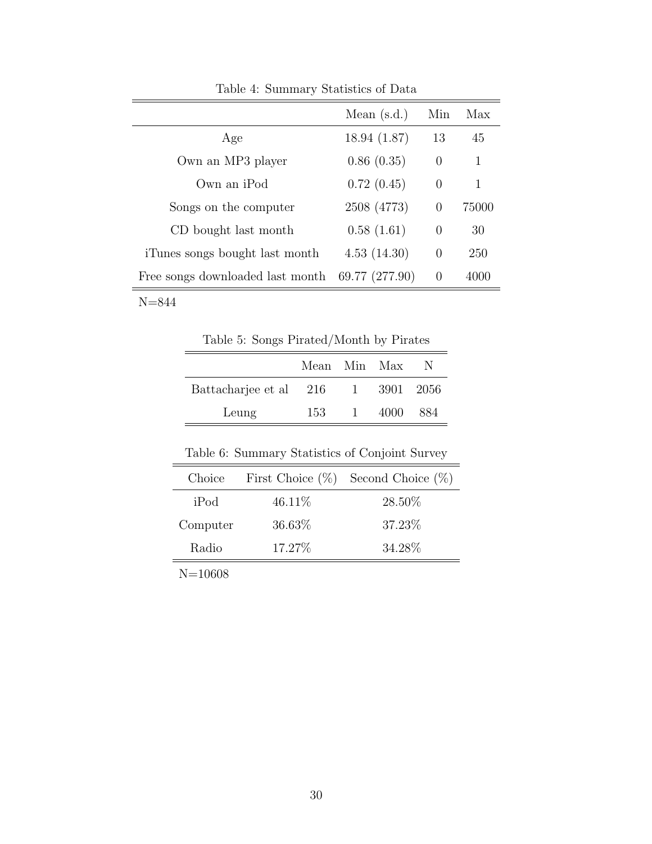|                                  | Mean $(s.d.)$  | Min            | Max   |
|----------------------------------|----------------|----------------|-------|
| Age                              | 18.94(1.87)    | 13             | 45    |
| Own an MP3 player                | 0.86(0.35)     | $\overline{0}$ | 1     |
| Own an iPod                      | 0.72(0.45)     | $\theta$       | 1     |
| Songs on the computer            | 2508 (4773)    | $\theta$       | 75000 |
| CD bought last month             | 0.58(1.61)     | $\theta$       | 30    |
| iTunes songs bought last month   | 4.53(14.30)    | $\theta$       | 250   |
| Free songs downloaded last month | 69.77 (277.90) | $\theta$       | 4000  |

Table 4: Summary Statistics of Data

Table 5: Songs Pirated/Month by Pirates

|                        | Mean Min Max |              |           | N.   |
|------------------------|--------------|--------------|-----------|------|
| Battacharjee et al 216 |              | $\sim$ 1     | 3901 2056 |      |
| Leung                  | 153          | $\mathbf{1}$ | 4000      | -884 |
|                        |              |              |           |      |

Table 6: Summary Statistics of Conjoint Survey

| Choice   |         | First Choice $(\%)$ Second Choice $(\%)$ |
|----------|---------|------------------------------------------|
| iPod     | 46.11\% | 28.50%                                   |
| Computer | 36.63\% | 37.23\%                                  |
| Radio    | 17.27\% | 34.28%                                   |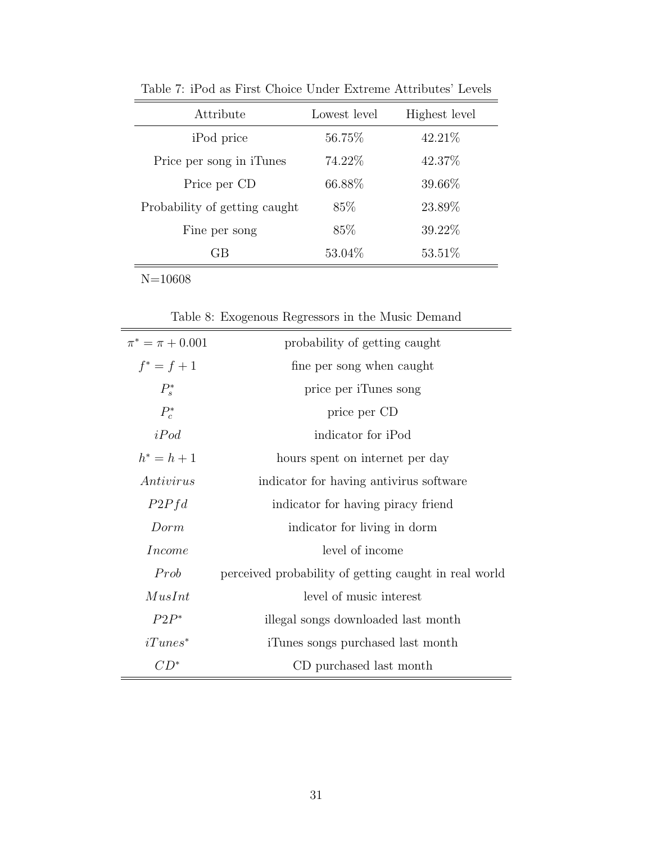| Attribute                     | Lowest level | Highest level |
|-------------------------------|--------------|---------------|
| iPod price                    | 56.75%       | 42.21\%       |
| Price per song in iTunes      | 74.22%       | 42.37%        |
| Price per CD                  | 66.88%       | 39.66%        |
| Probability of getting caught | 85\%         | 23.89\%       |
| Fine per song                 | 85\%         | 39.22\%       |
| GВ                            | 53.04%       | 53.51\%       |
|                               |              |               |

Table 7: iPod as First Choice Under Extreme Attributes' Levels

Table 8: Exogenous Regressors in the Music Demand

| $\pi^* = \pi + 0.001$ | probability of getting caught                         |
|-----------------------|-------------------------------------------------------|
| $f^* = f + 1$         | fine per song when caught                             |
| $P_s^*$               | price per iTunes song                                 |
| $P_c^*$               | price per CD                                          |
| iPod                  | indicator for iPod                                    |
| $h^* = h + 1$         | hours spent on internet per day                       |
| Antivirus             | indicator for having antivirus software               |
| P2Pfd                 | indicator for having piracy friend                    |
| Dorm                  | indicator for living in dorm                          |
| <i>Income</i>         | level of income                                       |
| Prob                  | perceived probability of getting caught in real world |
| MusInt                | level of music interest                               |
| $P2P^*$               | illegal songs downloaded last month                   |
| $iTunes^*$            | iTunes songs purchased last month                     |
| $CD^*$                | CD purchased last month                               |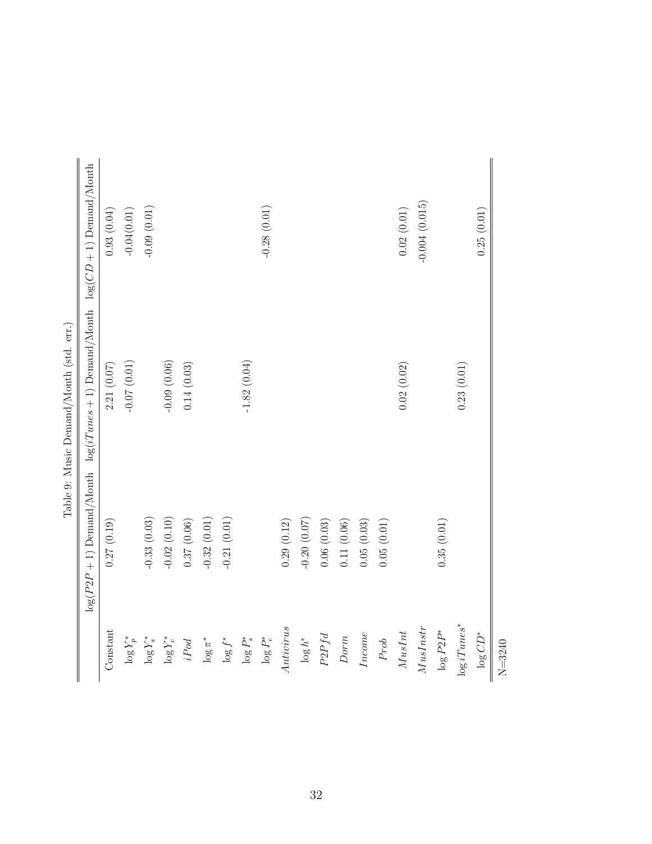|                 |               | Table 9: Music Demand/Month (std. err.)                       |                            |
|-----------------|---------------|---------------------------------------------------------------|----------------------------|
|                 |               | $\log(P2P + 1)$ Demand/Month $\log(iT$ unes + 1) Demand/Month | $log(CD + 1)$ Demand/Month |
| Constant        | 0.27(0.19)    | 2.21(0.07)                                                    | 0.93(0.04)                 |
| $\log Y^*_p$    |               | (10.07)(0.01)                                                 | $-0.04(0.01)$              |
| $\log Y_s^*$    | $-0.33(0.03)$ |                                                               | $-0.09(0.01)$              |
| $\log Y_c^*$    | $-0.02(0.10)$ | $-0.09(0.06)$                                                 |                            |
| $iPod$          | 0.37(0.06)    | 0.14(0.03)                                                    |                            |
| $\log \pi^*$    | $-0.32(0.01)$ |                                                               |                            |
| $\log f^*$      | $-0.21(0.01)$ |                                                               |                            |
| $\log P_s^*$    |               | $-1.82(0.04)$                                                 |                            |
| $\log P_c^*$    |               |                                                               | $-0.28(0.01)$              |
| Antivirus       | 0.29(0.12)    |                                                               |                            |
| $\log h^*$      | $-0.20(0.07)$ |                                                               |                            |
| $P2Pfd$         | 0.06(0.03)    |                                                               |                            |
| Dorm            | 0.11(0.06)    |                                                               |                            |
| Income          | 0.05(0.03)    |                                                               |                            |
| ${\cal P}rob$   | 0.05(0.01)    |                                                               |                            |
| $MusInt$        |               | 0.02(0.02)                                                    | 0.02(0.01)                 |
| MusInstr        |               |                                                               | $-0.004(0.015)$            |
| $\log{P2P^*}$   | 0.35(0.01)    |                                                               |                            |
| $\log iT$ unes* |               | 0.23(0.01)                                                    |                            |
| $\log CD^{*}$   |               |                                                               | 0.25(0.01)                 |
| $N = 3240$      |               |                                                               |                            |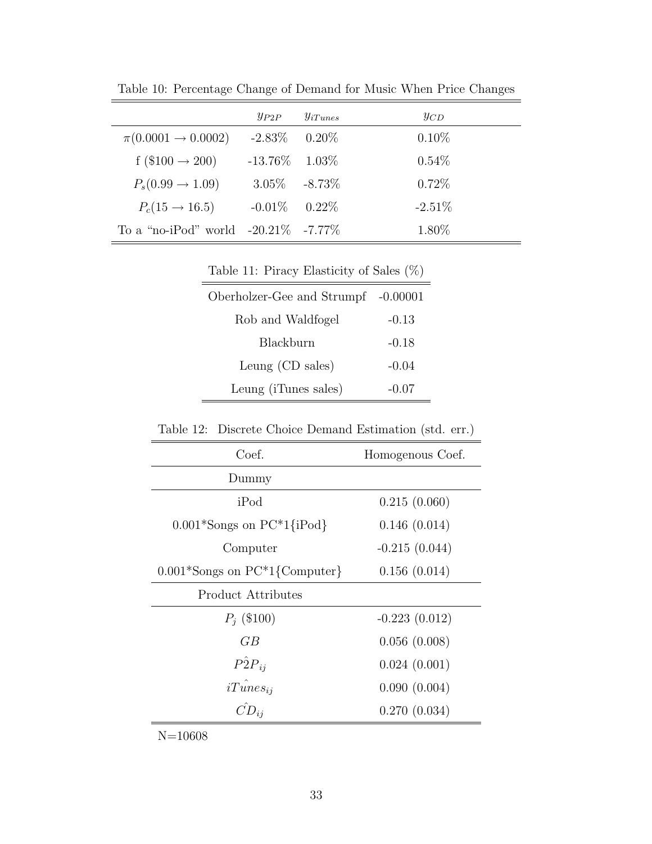|                                        | $y_{P2P}$         | $y_{iTunes}$ | $y_{CD}$  |
|----------------------------------------|-------------------|--------------|-----------|
| $\pi(0.0001 \rightarrow 0.0002)$       | $-2.83\%$ 0.20\%  |              | $0.10\%$  |
| f (\$100 $\rightarrow$ 200)            | $-13.76\%$ 1.03\% |              | $0.54\%$  |
| $P_s(0.99 \rightarrow 1.09)$           | $3.05\% -8.73\%$  |              | 0.72%     |
| $P_c(15 \to 16.5)$                     | $-0.01\%$ 0.22\%  |              | $-2.51\%$ |
| To a "no-iPod" world $-20.21\%$ -7.77% |                   |              | 1.80\%    |

Table 10: Percentage Change of Demand for Music When Price Changes

Table 11: Piracy Elasticity of Sales  $(\%)$ 

| Oberholzer-Gee and Strumpf -0.00001 |           |
|-------------------------------------|-----------|
| Rob and Waldfogel                   | $-0.13$   |
| Blackburn                           | $-0.18$   |
| Leung $(CD \, \, \text{sales})$     | $-0.04$   |
| Leung (iTunes sales)                | $-(1.07)$ |

Table 12: Discrete Choice Demand Estimation (std. err.)

| Coef.                                | Homogenous Coef. |
|--------------------------------------|------------------|
| Dummy                                |                  |
| iPod                                 | 0.215(0.060)     |
| $0.001*$ Songs on PC $*1$ {iPod}     | 0.146(0.014)     |
| Computer                             | $-0.215(0.044)$  |
| $0.001*$ Songs on PC $*1$ {Computer} | 0.156(0.014)     |
| Product Attributes                   |                  |
| $P_i$ (\$100)                        | $-0.223(0.012)$  |
| GB                                   | 0.056(0.008)     |
| $\hat{P2P_{ii}}$                     | 0.024(0.001)     |
| $iTunes_{ii}$                        | 0.090(0.004)     |
|                                      | 0.270(0.034)     |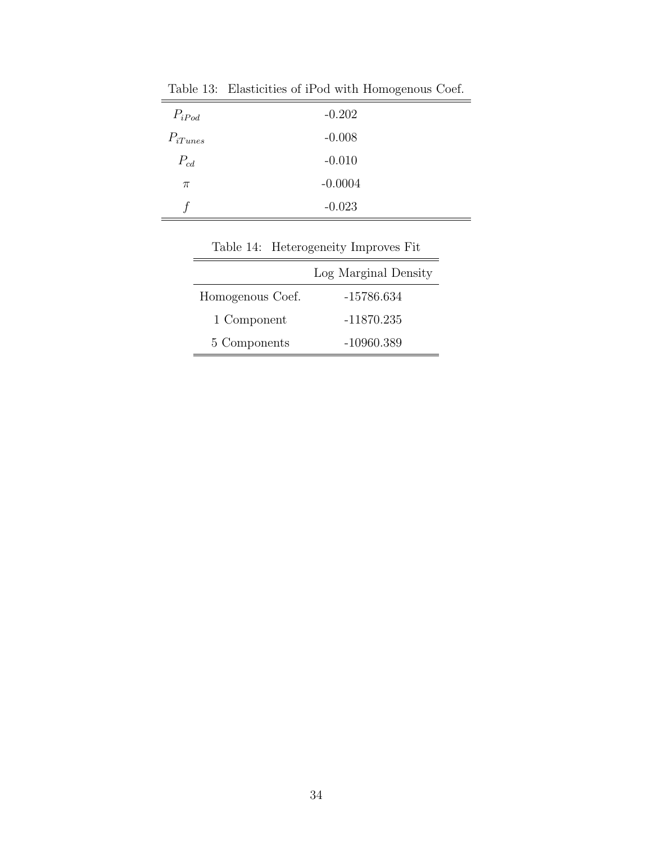| $P_{iPod}$   | $-0.202$  |
|--------------|-----------|
| $P_{iTunes}$ | $-0.008$  |
| $P_{cd}$     | $-0.010$  |
| $\pi$        | $-0.0004$ |
|              | $-0.023$  |

Table 13: Elasticities of iPod with Homogenous Coef.

| Table 14. Heterogenery Improves Fit |                      |  |
|-------------------------------------|----------------------|--|
|                                     | Log Marginal Density |  |
| Homogenous Coef.                    | -15786.634           |  |
| 1 Component                         | $-11870.235$         |  |
| 5 Components                        | $-10960.389$         |  |

Table 14: Heterogeneity Improves Fit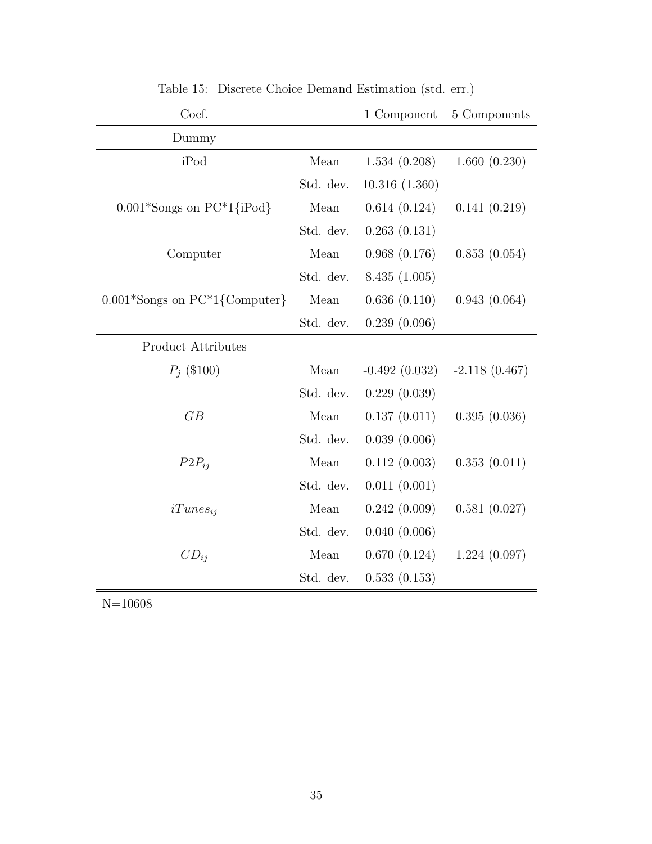| Coef.                                         |           | 1 Component     | 5 Components    |
|-----------------------------------------------|-----------|-----------------|-----------------|
| Dummy                                         |           |                 |                 |
| iPod                                          | Mean      | 1.534(0.208)    | 1.660(0.230)    |
|                                               | Std. dev. | 10.316(1.360)   |                 |
| $0.001*$ Songs on PC $*1$ {iPod}              | Mean      | 0.614(0.124)    | 0.141(0.219)    |
|                                               | Std. dev. | 0.263(0.131)    |                 |
| Computer                                      | Mean      | 0.968(0.176)    | 0.853(0.054)    |
|                                               | Std. dev. | 8.435(1.005)    |                 |
| $0.001*$ Songs on PC <sup>*</sup> 1{Computer} | Mean      | 0.636(0.110)    | 0.943(0.064)    |
|                                               | Std. dev. | 0.239(0.096)    |                 |
| Product Attributes                            |           |                 |                 |
| $P_i$ (\$100)                                 | Mean      | $-0.492(0.032)$ | $-2.118(0.467)$ |
|                                               | Std. dev. | 0.229(0.039)    |                 |
| GB                                            | Mean      | 0.137(0.011)    | 0.395(0.036)    |
|                                               | Std. dev. | 0.039(0.006)    |                 |
| $P2P_{ii}$                                    | Mean      | 0.112(0.003)    | 0.353(0.011)    |
|                                               | Std. dev. | 0.011(0.001)    |                 |
| $iTunes_{ii}$                                 | Mean      | 0.242(0.009)    | 0.581(0.027)    |
|                                               | Std. dev. | 0.040(0.006)    |                 |
| $CD_{ij}$                                     | Mean      | 0.670(0.124)    | 1.224(0.097)    |
|                                               | Std. dev. | 0.533(0.153)    |                 |

Table 15: Discrete Choice Demand Estimation (std. err.)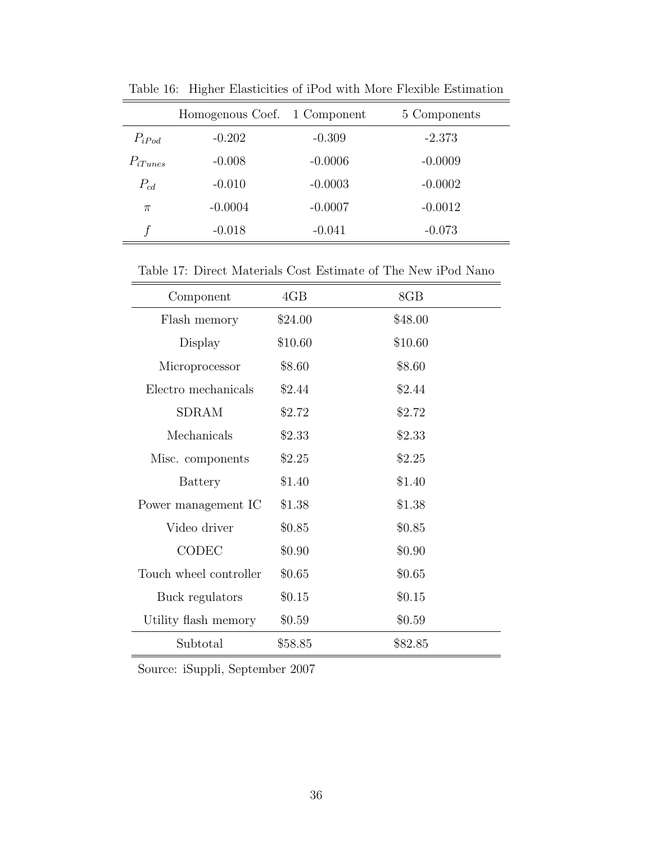|              | Homogenous Coef. 1 Component |           | 5 Components |
|--------------|------------------------------|-----------|--------------|
| $P_{iPod}$   | $-0.202$                     | $-0.309$  | $-2.373$     |
| $P_{iTunes}$ | $-0.008$                     | $-0.0006$ | $-0.0009$    |
| $P_{cd}$     | $-0.010$                     | $-0.0003$ | $-0.0002$    |
| $\pi$        | $-0.0004$                    | $-0.0007$ | $-0.0012$    |
|              | $-0.018$                     | $-0.041$  | $-0.073$     |

Table 16: Higher Elasticities of iPod with More Flexible Estimation

Table 17: Direct Materials Cost Estimate of The New iPod Nano

| Component              | 4GB     | 8GB     |
|------------------------|---------|---------|
| Flash memory           | \$24.00 | \$48.00 |
| Display                | \$10.60 | \$10.60 |
| Microprocessor         | \$8.60  | \$8.60  |
| Electro mechanicals    | \$2.44  | \$2.44  |
| <b>SDRAM</b>           | \$2.72  | \$2.72  |
| Mechanicals            | \$2.33  | \$2.33  |
| Misc. components       | \$2.25  | \$2.25  |
| Battery                | \$1.40  | \$1.40  |
| Power management IC    | \$1.38  | \$1.38  |
| Video driver           | \$0.85  | \$0.85  |
| CODEC                  | \$0.90  | \$0.90  |
| Touch wheel controller | \$0.65  | \$0.65  |
| Buck regulators        | \$0.15  | \$0.15  |
| Utility flash memory   | \$0.59  | \$0.59  |
| Subtotal               | \$58.85 | \$82.85 |

Source: iSuppli, September 2007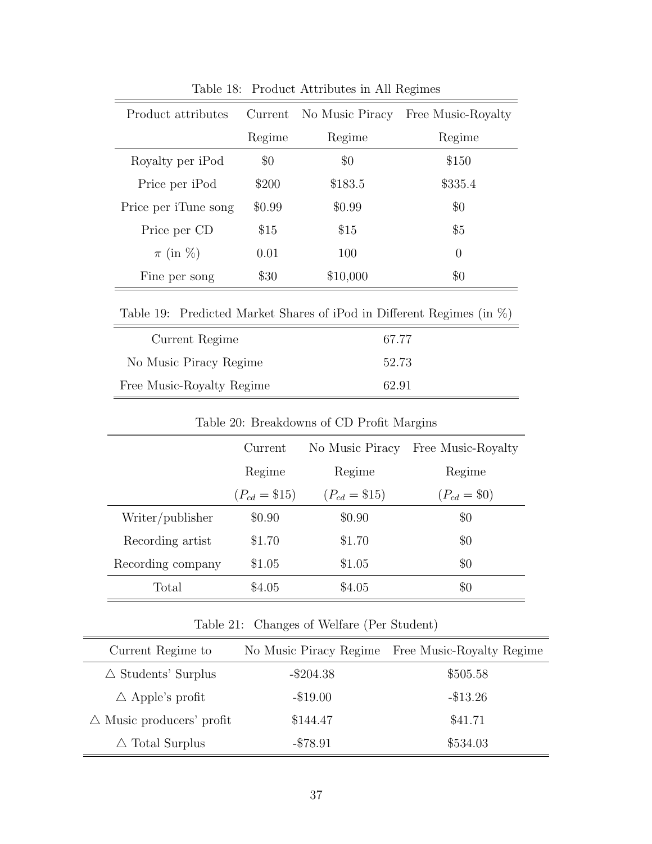| Product attributes   | Current | No Music Piracy | Free Music-Royalty |
|----------------------|---------|-----------------|--------------------|
|                      | Regime  | Regime          | Regime             |
| Royalty per iPod     | $\$0$   | $\$0$           | \$150              |
| Price per iPod       | \$200   | \$183.5         | \$335.4            |
| Price per iTune song | \$0.99  | \$0.99          | $\$0$              |
| Price per CD         | \$15    | \$15            | $\$5$              |
| $\pi$ (in %)         | 0.01    | 100             | $\overline{0}$     |
| Fine per song        | \$30    | \$10,000        | $\$0$              |

Table 18: Product Attributes in All Regimes

Table 19: Predicted Market Shares of iPod in Different Regimes (in %)

| Current Regime            | 67.77 |
|---------------------------|-------|
| No Music Piracy Regime    | 52.73 |
| Free Music-Royalty Regime | 62.91 |

| Table 20: Breakdowns of CD Pront Margins |                  |                  |                    |
|------------------------------------------|------------------|------------------|--------------------|
|                                          | Current          | No Music Piracy  | Free Music-Royalty |
|                                          | Regime           | Regime           | Regime             |
|                                          | $(P_{cd} = $15)$ | $(P_{cd} = $15)$ | $(P_{cd} = $0)$    |
| Writer/publisher                         | \$0.90           | \$0.90           | $\$0$              |
| Recording artist                         | \$1.70           | \$1.70           | $\$0$              |
| Recording company                        | \$1.05           | \$1.05           | $\$0$              |
| Total                                    | \$4.05           | \$4.05           | $\$0$              |

Table 20: Breakdowns of CD Profit Margins

Table 21: Changes of Welfare (Per Student)

| Current Regime to                   | No Music Piracy Regime | Free Music-Royalty Regime |
|-------------------------------------|------------------------|---------------------------|
| $\triangle$ Students' Surplus       | $-\$204.38$            | \$505.58                  |
| $\triangle$ Apple's profit          | $-\$19.00$             | $-$ \$13.26               |
| $\triangle$ Music producers' profit | \$144.47               | \$41.71                   |
| $\triangle$ Total Surplus           | $-$ \$78.91            | \$534.03                  |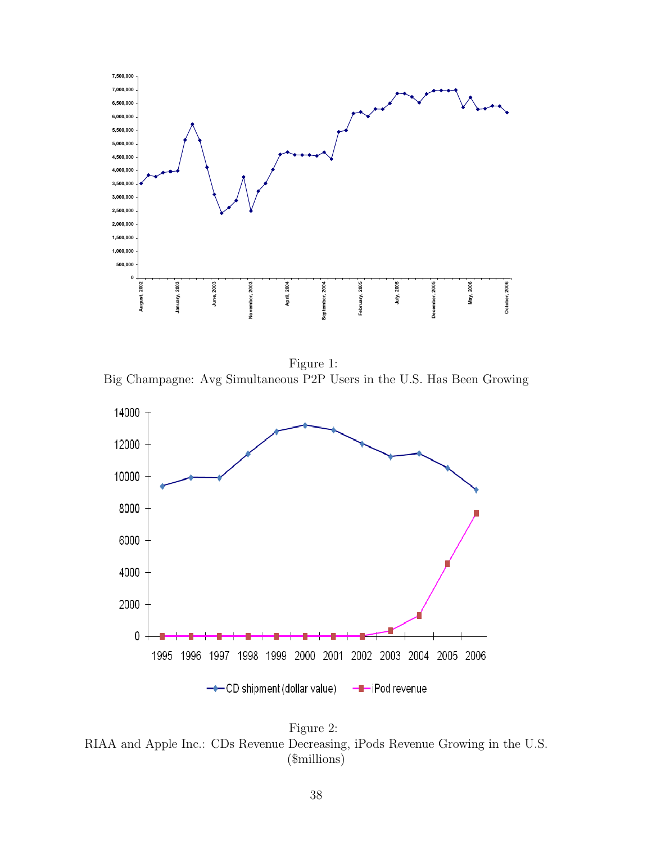

<span id="page-37-0"></span>Figure 1: Big Champagne: Avg Simultaneous P2P Users in the U.S. Has Been Growing



<span id="page-37-1"></span>Figure 2: RIAA and Apple Inc.: CDs Revenue Decreasing, iPods Revenue Growing in the U.S. (\$millions)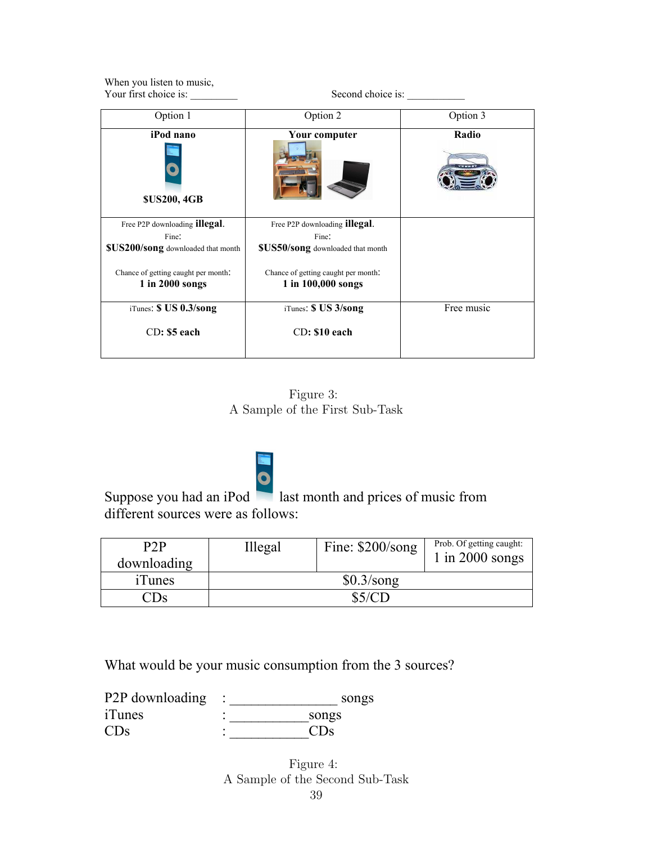| When you listen to music,<br>Your first choice is: | Second choice is:                   |            |  |
|----------------------------------------------------|-------------------------------------|------------|--|
| Option 1                                           | Option 2                            | Option 3   |  |
| iPod nano<br><b>\$US200, 4GB</b>                   | Your computer                       | Radio      |  |
| Free P2P downloading illegal.                      | Free P2P downloading illegal.       |            |  |
| Fine:                                              | Fine:                               |            |  |
| \$US200/song downloaded that month                 | \$US50/song downloaded that month   |            |  |
| Chance of getting caught per month.                | Chance of getting caught per month. |            |  |
| 1 in 2000 songs                                    | 1 in 100,000 songs                  |            |  |
| iTunes: \$ US 0.3/song                             | iTunes: \$ US 3/song                | Free music |  |
| $CD:$ \$5 each                                     | $CD: $10$ each                      |            |  |

Figure 3: A Sample of the First Sub-Task

<span id="page-38-0"></span>

Suppose you had an iPod last month and prices of music from different sources were as follows:

| P2P<br>downloading               | Illegal      | Fine: $$200/song$ | Prob. Of getting caught:<br>1 in 2000 songs |
|----------------------------------|--------------|-------------------|---------------------------------------------|
| <i>iTunes</i>                    | $$0.3$ /song |                   |                                             |
| $\mathbb{C}\mathrm{D}\mathrm{s}$ |              | \$5/CD            |                                             |

What would be your music consumption from the 3 sources?

| P <sub>2</sub> P downloading | songs                 |
|------------------------------|-----------------------|
| iTunes                       | songs                 |
| <b>CD<sub>s</sub></b>        | <b>CD<sub>S</sub></b> |

<span id="page-38-1"></span>Figure 4: A Sample of the Second Sub-Task 39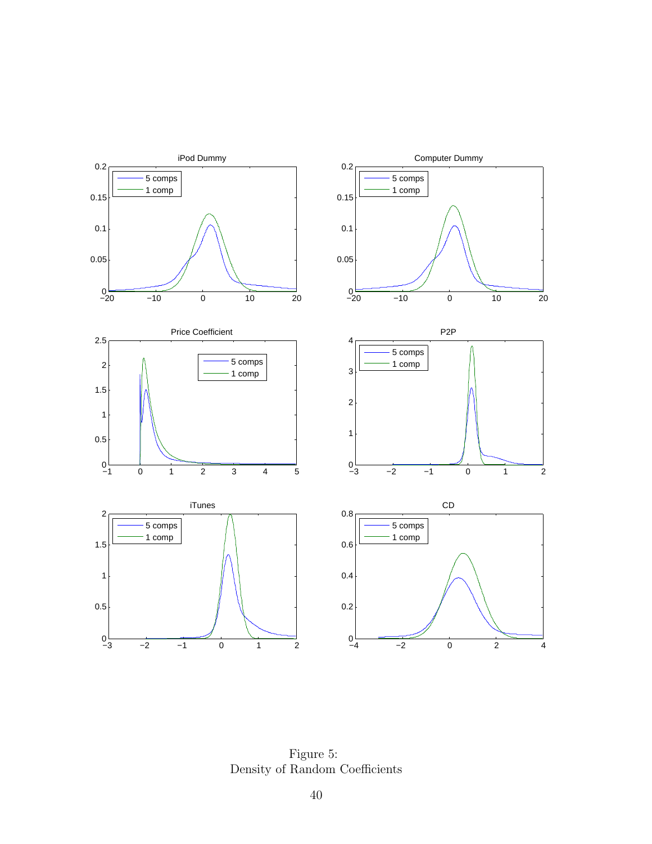

<span id="page-39-0"></span>Figure 5: Density of Random Coefficients